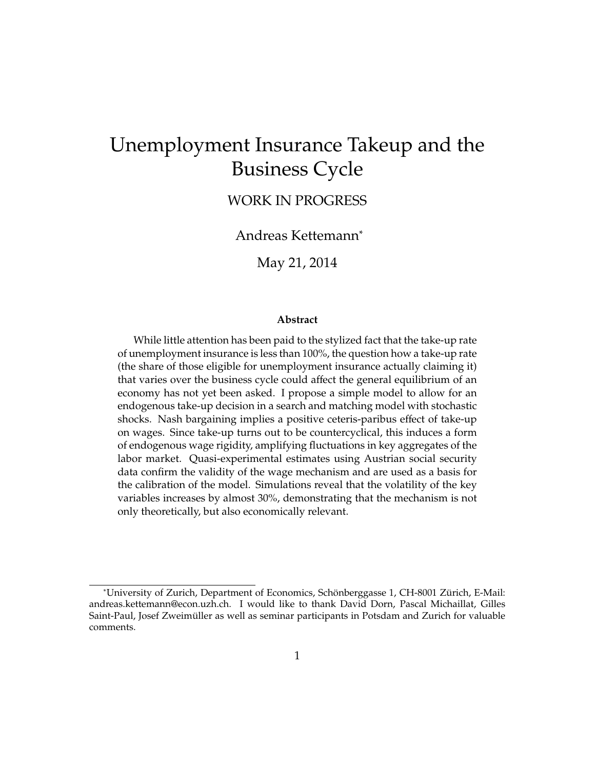# Unemployment Insurance Takeup and the Business Cycle

WORK IN PROGRESS

Andreas Kettemann<sup>∗</sup>

May 21, 2014

#### **Abstract**

While little attention has been paid to the stylized fact that the take-up rate of unemployment insurance is less than 100%, the question how a take-up rate (the share of those eligible for unemployment insurance actually claiming it) that varies over the business cycle could affect the general equilibrium of an economy has not yet been asked. I propose a simple model to allow for an endogenous take-up decision in a search and matching model with stochastic shocks. Nash bargaining implies a positive ceteris-paribus effect of take-up on wages. Since take-up turns out to be countercyclical, this induces a form of endogenous wage rigidity, amplifying fluctuations in key aggregates of the labor market. Quasi-experimental estimates using Austrian social security data confirm the validity of the wage mechanism and are used as a basis for the calibration of the model. Simulations reveal that the volatility of the key variables increases by almost 30%, demonstrating that the mechanism is not only theoretically, but also economically relevant.

<sup>\*</sup>University of Zurich, Department of Economics, Schönberggasse 1, CH-8001 Zürich, E-Mail: andreas.kettemann@econ.uzh.ch. I would like to thank David Dorn, Pascal Michaillat, Gilles Saint-Paul, Josef Zweimüller as well as seminar participants in Potsdam and Zurich for valuable comments.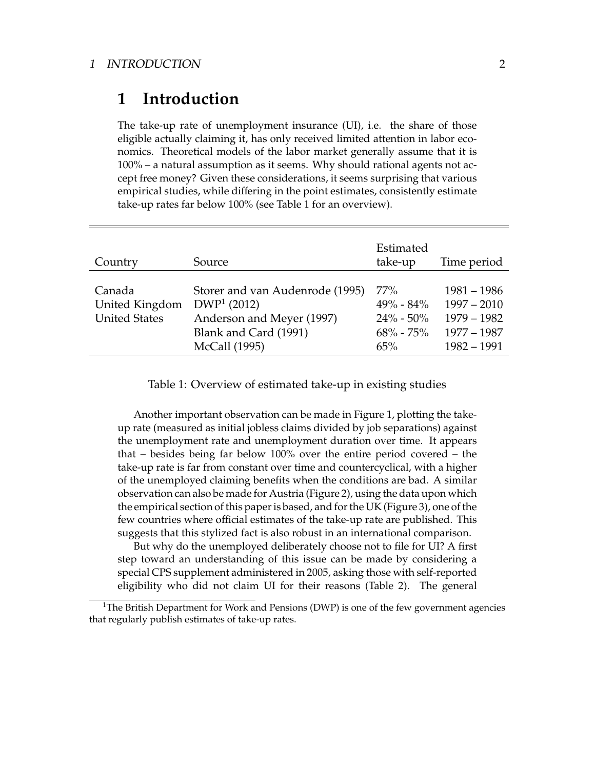## **1 Introduction**

The take-up rate of unemployment insurance (UI), i.e. the share of those eligible actually claiming it, has only received limited attention in labor economics. Theoretical models of the labor market generally assume that it is 100% – a natural assumption as it seems. Why should rational agents not accept free money? Given these considerations, it seems surprising that various empirical studies, while differing in the point estimates, consistently estimate take-up rates far below 100% (see Table 1 for an overview).

| Country                                          | Source                                                                                                                  | Estimated<br>take-up                                          | Time period                                                                       |
|--------------------------------------------------|-------------------------------------------------------------------------------------------------------------------------|---------------------------------------------------------------|-----------------------------------------------------------------------------------|
| Canada<br>United Kingdom<br><b>United States</b> | Storer and van Audenrode (1995)<br>$DWP1$ (2012)<br>Anderson and Meyer (1997)<br>Blank and Card (1991)<br>McCall (1995) | 77%<br>$49\% - 84\%$<br>$24\% - 50\%$<br>$68\% - 75\%$<br>65% | $1981 - 1986$<br>$1997 - 2010$<br>$1979 - 1982$<br>$1977 - 1987$<br>$1982 - 1991$ |

Table 1: Overview of estimated take-up in existing studies

Another important observation can be made in Figure 1, plotting the takeup rate (measured as initial jobless claims divided by job separations) against the unemployment rate and unemployment duration over time. It appears that – besides being far below 100% over the entire period covered – the take-up rate is far from constant over time and countercyclical, with a higher of the unemployed claiming benefits when the conditions are bad. A similar observation can also be made for Austria (Figure 2), using the data upon which the empirical section of this paper is based, and for the UK (Figure 3), one of the few countries where official estimates of the take-up rate are published. This suggests that this stylized fact is also robust in an international comparison.

But why do the unemployed deliberately choose not to file for UI? A first step toward an understanding of this issue can be made by considering a special CPS supplement administered in 2005, asking those with self-reported eligibility who did not claim UI for their reasons (Table 2). The general

<sup>1</sup>The British Department for Work and Pensions (DWP) is one of the few government agencies that regularly publish estimates of take-up rates.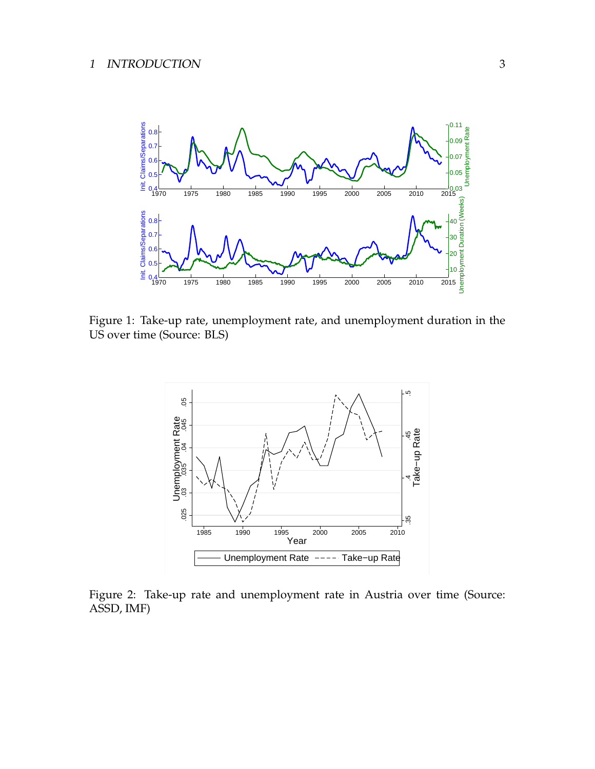

Figure 1: Take-up rate, unemployment rate, and unemployment duration in the US over time (Source: BLS)



Figure 2: Take-up rate and unemployment rate in Austria over time (Source: ASSD, IMF)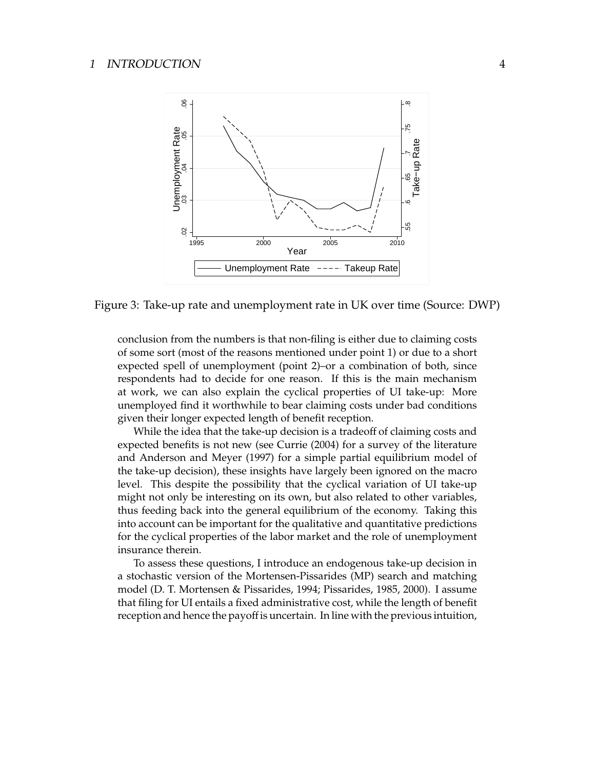

Figure 3: Take-up rate and unemployment rate in UK over time (Source: DWP)

conclusion from the numbers is that non-filing is either due to claiming costs of some sort (most of the reasons mentioned under point 1) or due to a short expected spell of unemployment (point 2)–or a combination of both, since respondents had to decide for one reason. If this is the main mechanism at work, we can also explain the cyclical properties of UI take-up: More unemployed find it worthwhile to bear claiming costs under bad conditions given their longer expected length of benefit reception.

While the idea that the take-up decision is a tradeoff of claiming costs and expected benefits is not new (see Currie (2004) for a survey of the literature and Anderson and Meyer (1997) for a simple partial equilibrium model of the take-up decision), these insights have largely been ignored on the macro level. This despite the possibility that the cyclical variation of UI take-up might not only be interesting on its own, but also related to other variables, thus feeding back into the general equilibrium of the economy. Taking this into account can be important for the qualitative and quantitative predictions for the cyclical properties of the labor market and the role of unemployment insurance therein.

To assess these questions, I introduce an endogenous take-up decision in a stochastic version of the Mortensen-Pissarides (MP) search and matching model (D. T. Mortensen & Pissarides, 1994; Pissarides, 1985, 2000). I assume that filing for UI entails a fixed administrative cost, while the length of benefit reception and hence the payoff is uncertain. In line with the previous intuition,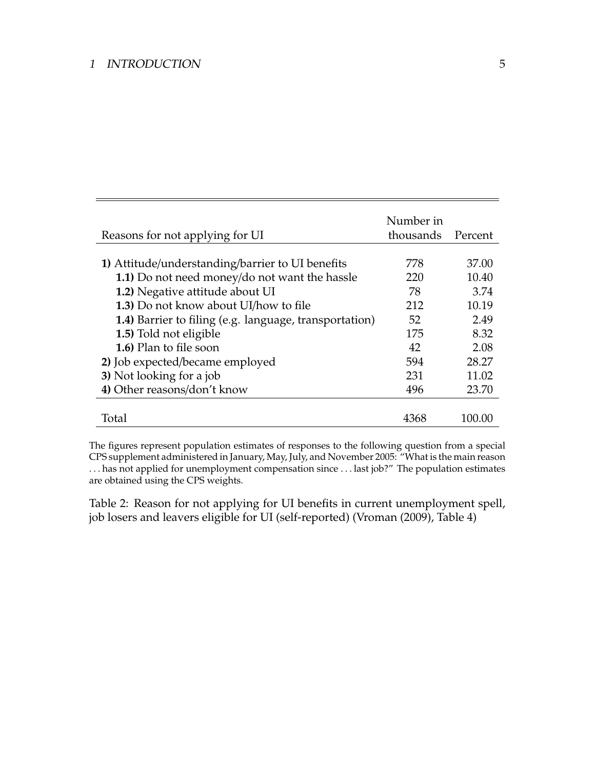|                                                        | Number in |         |
|--------------------------------------------------------|-----------|---------|
| Reasons for not applying for UI                        | thousands | Percent |
|                                                        |           |         |
| 1) Attitude/understanding/barrier to UI benefits       | 778       | 37.00   |
| 1.1) Do not need money/do not want the hassle          | 220       | 10.40   |
| 1.2) Negative attitude about UI                        | 78        | 3.74    |
| 1.3) Do not know about UI/how to file                  | 212       | 10.19   |
| 1.4) Barrier to filing (e.g. language, transportation) | 52        | 2.49    |
| 1.5) Told not eligible                                 | 175       | 8.32    |
| 1.6) Plan to file soon                                 | 42        | 2.08    |
| 2) Job expected/became employed                        | 594       | 28.27   |
| 3) Not looking for a job                               | 231       | 11.02   |
| 4) Other reasons/don't know                            | 496       | 23.70   |
|                                                        |           |         |
| Total                                                  |           | 100.00  |

The figures represent population estimates of responses to the following question from a special CPS supplement administered in January, May, July, and November 2005: "What is the main reason . . . has not applied for unemployment compensation since . . . last job?" The population estimates are obtained using the CPS weights.

Table 2: Reason for not applying for UI benefits in current unemployment spell, job losers and leavers eligible for UI (self-reported) (Vroman (2009), Table 4)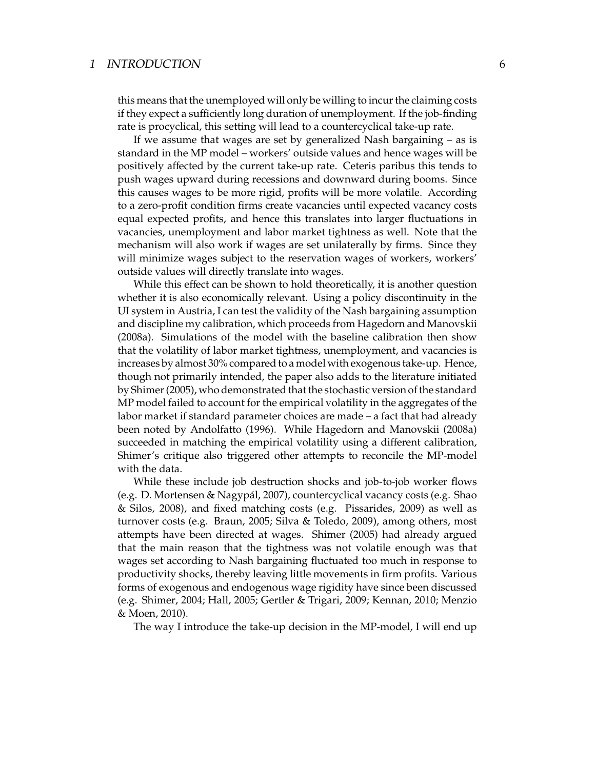this means that the unemployed will only be willing to incur the claiming costs if they expect a sufficiently long duration of unemployment. If the job-finding rate is procyclical, this setting will lead to a countercyclical take-up rate.

If we assume that wages are set by generalized Nash bargaining – as is standard in the MP model – workers' outside values and hence wages will be positively affected by the current take-up rate. Ceteris paribus this tends to push wages upward during recessions and downward during booms. Since this causes wages to be more rigid, profits will be more volatile. According to a zero-profit condition firms create vacancies until expected vacancy costs equal expected profits, and hence this translates into larger fluctuations in vacancies, unemployment and labor market tightness as well. Note that the mechanism will also work if wages are set unilaterally by firms. Since they will minimize wages subject to the reservation wages of workers, workers' outside values will directly translate into wages.

While this effect can be shown to hold theoretically, it is another question whether it is also economically relevant. Using a policy discontinuity in the UI system in Austria, I can test the validity of the Nash bargaining assumption and discipline my calibration, which proceeds from Hagedorn and Manovskii (2008a). Simulations of the model with the baseline calibration then show that the volatility of labor market tightness, unemployment, and vacancies is increases by almost 30% compared to a model with exogenous take-up. Hence, though not primarily intended, the paper also adds to the literature initiated by Shimer (2005), who demonstrated that the stochastic version of the standard MP model failed to account for the empirical volatility in the aggregates of the labor market if standard parameter choices are made – a fact that had already been noted by Andolfatto (1996). While Hagedorn and Manovskii (2008a) succeeded in matching the empirical volatility using a different calibration, Shimer's critique also triggered other attempts to reconcile the MP-model with the data.

While these include job destruction shocks and job-to-job worker flows (e.g. D. Mortensen & Nagypal, 2007), countercyclical vacancy costs (e.g. Shao ´ & Silos, 2008), and fixed matching costs (e.g. Pissarides, 2009) as well as turnover costs (e.g. Braun, 2005; Silva & Toledo, 2009), among others, most attempts have been directed at wages. Shimer (2005) had already argued that the main reason that the tightness was not volatile enough was that wages set according to Nash bargaining fluctuated too much in response to productivity shocks, thereby leaving little movements in firm profits. Various forms of exogenous and endogenous wage rigidity have since been discussed (e.g. Shimer, 2004; Hall, 2005; Gertler & Trigari, 2009; Kennan, 2010; Menzio & Moen, 2010).

The way I introduce the take-up decision in the MP-model, I will end up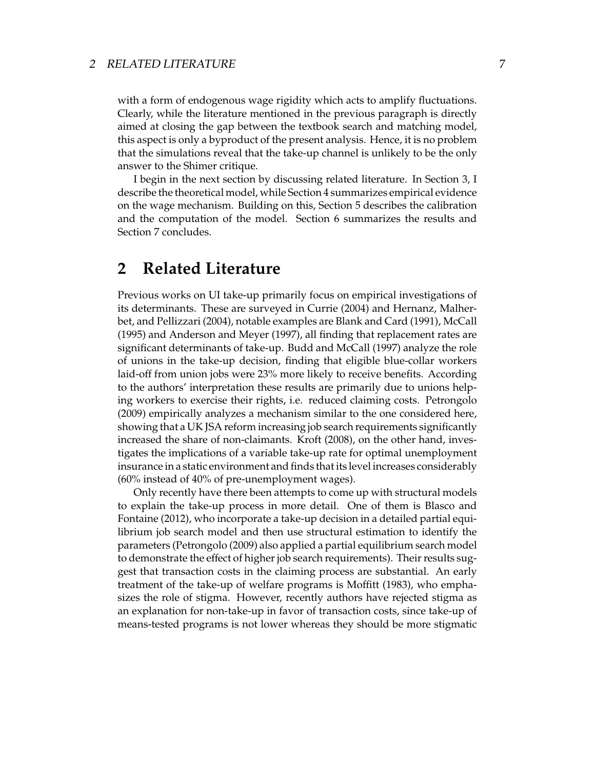#### 2 RELATED LITERATURE 7

with a form of endogenous wage rigidity which acts to amplify fluctuations. Clearly, while the literature mentioned in the previous paragraph is directly aimed at closing the gap between the textbook search and matching model, this aspect is only a byproduct of the present analysis. Hence, it is no problem that the simulations reveal that the take-up channel is unlikely to be the only answer to the Shimer critique.

I begin in the next section by discussing related literature. In Section 3, I describe the theoretical model, while Section 4 summarizes empirical evidence on the wage mechanism. Building on this, Section 5 describes the calibration and the computation of the model. Section 6 summarizes the results and Section 7 concludes.

## **2 Related Literature**

Previous works on UI take-up primarily focus on empirical investigations of its determinants. These are surveyed in Currie (2004) and Hernanz, Malherbet, and Pellizzari (2004), notable examples are Blank and Card (1991), McCall (1995) and Anderson and Meyer (1997), all finding that replacement rates are significant determinants of take-up. Budd and McCall (1997) analyze the role of unions in the take-up decision, finding that eligible blue-collar workers laid-off from union jobs were 23% more likely to receive benefits. According to the authors' interpretation these results are primarily due to unions helping workers to exercise their rights, i.e. reduced claiming costs. Petrongolo (2009) empirically analyzes a mechanism similar to the one considered here, showing that a UK JSA reform increasing job search requirements significantly increased the share of non-claimants. Kroft (2008), on the other hand, investigates the implications of a variable take-up rate for optimal unemployment insurance in a static environment and finds that its level increases considerably (60% instead of 40% of pre-unemployment wages).

Only recently have there been attempts to come up with structural models to explain the take-up process in more detail. One of them is Blasco and Fontaine (2012), who incorporate a take-up decision in a detailed partial equilibrium job search model and then use structural estimation to identify the parameters (Petrongolo (2009) also applied a partial equilibrium search model to demonstrate the effect of higher job search requirements). Their results suggest that transaction costs in the claiming process are substantial. An early treatment of the take-up of welfare programs is Moffitt (1983), who emphasizes the role of stigma. However, recently authors have rejected stigma as an explanation for non-take-up in favor of transaction costs, since take-up of means-tested programs is not lower whereas they should be more stigmatic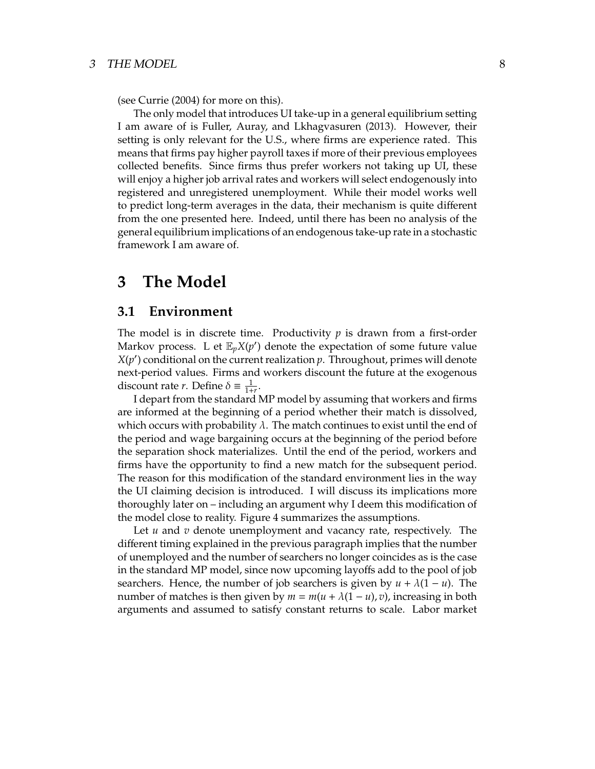(see Currie (2004) for more on this).

The only model that introduces UI take-up in a general equilibrium setting I am aware of is Fuller, Auray, and Lkhagvasuren (2013). However, their setting is only relevant for the U.S., where firms are experience rated. This means that firms pay higher payroll taxes if more of their previous employees collected benefits. Since firms thus prefer workers not taking up UI, these will enjoy a higher job arrival rates and workers will select endogenously into registered and unregistered unemployment. While their model works well to predict long-term averages in the data, their mechanism is quite different from the one presented here. Indeed, until there has been no analysis of the general equilibrium implications of an endogenous take-up rate in a stochastic framework I am aware of.

## **3 The Model**

### **3.1 Environment**

The model is in discrete time. Productivity *p* is drawn from a first-order Markov process. L et  $\mathbb{E}_p X(p')$  denote the expectation of some future value  $X(p')$  conditional on the current realization  $p$ . Throughout, primes will denote next-period values. Firms and workers discount the future at the exogenous discount rate *r*. Define  $\delta \equiv \frac{1}{1+1}$  $\frac{1}{1+r}$ .

I depart from the standard MP model by assuming that workers and firms are informed at the beginning of a period whether their match is dissolved, which occurs with probability  $\lambda$ . The match continues to exist until the end of the period and wage bargaining occurs at the beginning of the period before the separation shock materializes. Until the end of the period, workers and firms have the opportunity to find a new match for the subsequent period. The reason for this modification of the standard environment lies in the way the UI claiming decision is introduced. I will discuss its implications more thoroughly later on – including an argument why I deem this modification of the model close to reality. Figure 4 summarizes the assumptions.

Let *u* and *v* denote unemployment and vacancy rate, respectively. The different timing explained in the previous paragraph implies that the number of unemployed and the number of searchers no longer coincides as is the case in the standard MP model, since now upcoming layoffs add to the pool of job searchers. Hence, the number of job searchers is given by  $u + \lambda(1 - u)$ . The number of matches is then given by  $m = m(u + \lambda(1 - u), v)$ , increasing in both arguments and assumed to satisfy constant returns to scale. Labor market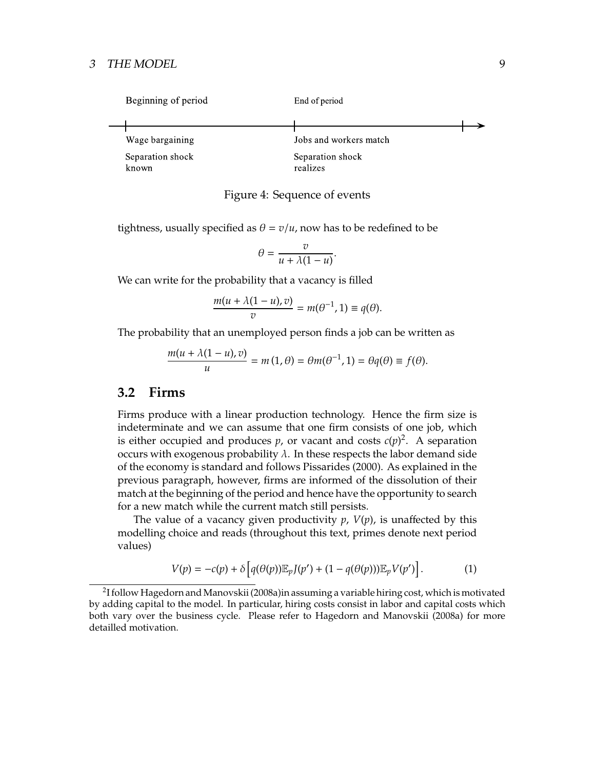#### 3 THE MODEL 9

| Beginning of period       | End of period                |  |
|---------------------------|------------------------------|--|
|                           |                              |  |
| Wage bargaining           | Jobs and workers match       |  |
| Separation shock<br>known | Separation shock<br>realizes |  |

#### Figure 4: Sequence of events

tightness, usually specified as  $\theta = v/u$ , now has to be redefined to be

$$
\theta = \frac{v}{u + \lambda(1 - u)}.
$$

We can write for the probability that a vacancy is filled

$$
\frac{m(u + \lambda(1 - u), v)}{v} = m(\theta^{-1}, 1) \equiv q(\theta).
$$

The probability that an unemployed person finds a job can be written as

$$
\frac{m(u + \lambda(1 - u), v)}{u} = m(1, \theta) = \theta m(\theta^{-1}, 1) = \theta q(\theta) \equiv f(\theta).
$$

#### **3.2 Firms**

Firms produce with a linear production technology. Hence the firm size is indeterminate and we can assume that one firm consists of one job, which is either occupied and produces  $p$ , or vacant and costs  $c(p)^2$ . A separation occurs with exogenous probability  $\lambda$ . In these respects the labor demand side of the economy is standard and follows Pissarides (2000). As explained in the previous paragraph, however, firms are informed of the dissolution of their match at the beginning of the period and hence have the opportunity to search for a new match while the current match still persists.

The value of a vacancy given productivity  $p$ ,  $V(p)$ , is unaffected by this modelling choice and reads (throughout this text, primes denote next period values)

$$
V(p) = -c(p) + \delta \left[ q(\theta(p)) \mathbb{E}_p J(p') + (1 - q(\theta(p))) \mathbb{E}_p V(p') \right]. \tag{1}
$$

<sup>2</sup> I follow Hagedorn and Manovskii (2008a)in assuming a variable hiring cost, which is motivated by adding capital to the model. In particular, hiring costs consist in labor and capital costs which both vary over the business cycle. Please refer to Hagedorn and Manovskii (2008a) for more detailled motivation.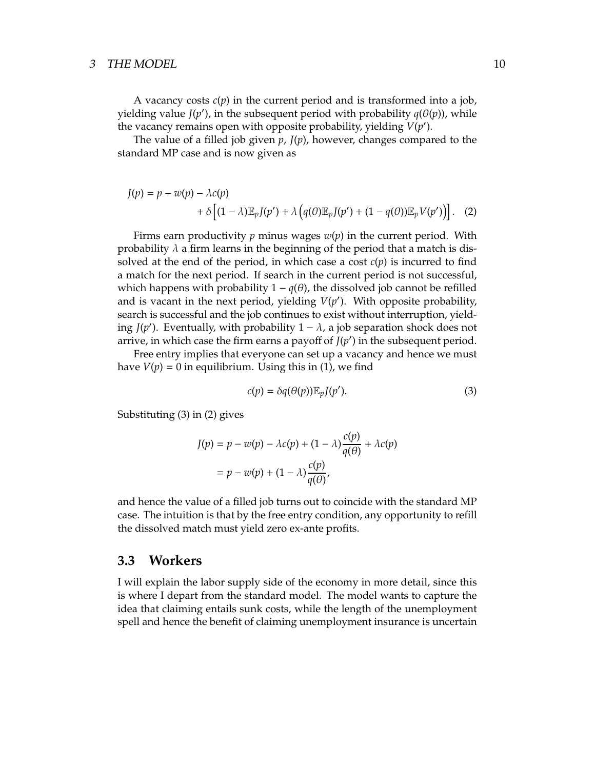#### 3 THE MODEL 2008 2009 10

A vacancy costs *c*(*p*) in the current period and is transformed into a job, yielding value  $J(p')$ , in the subsequent period with probability  $q(\theta(p))$ , while the vacancy remains open with opposite probability, yielding  $V(p')$ .

The value of a filled job given  $p$ ,  $J(p)$ , however, changes compared to the standard MP case and is now given as

$$
J(p) = p - w(p) - \lambda c(p)
$$
  
+  $\delta \left[ (1 - \lambda) \mathbb{E}_p J(p') + \lambda \left( q(\theta) \mathbb{E}_p J(p') + (1 - q(\theta)) \mathbb{E}_p V(p') \right) \right].$  (2)

Firms earn productivity  $p$  minus wages  $w(p)$  in the current period. With probability  $\lambda$  a firm learns in the beginning of the period that a match is dissolved at the end of the period, in which case a cost  $c(p)$  is incurred to find a match for the next period. If search in the current period is not successful, which happens with probability  $1 - q(\theta)$ , the dissolved job cannot be refilled and is vacant in the next period, yielding  $V(p')$ . With opposite probability, search is successful and the job continues to exist without interruption, yielding *J*( $p'$ ). Eventually, with probability  $1 - \lambda$ , a job separation shock does not arrive, in which case the firm earns a payoff of  $J(p')$  in the subsequent period.

Free entry implies that everyone can set up a vacancy and hence we must have  $V(p) = 0$  in equilibrium. Using this in (1), we find

$$
c(p) = \delta q(\theta(p)) \mathbb{E}_p J(p'). \tag{3}
$$

Substituting (3) in (2) gives

$$
J(p) = p - w(p) - \lambda c(p) + (1 - \lambda) \frac{c(p)}{q(\theta)} + \lambda c(p)
$$

$$
= p - w(p) + (1 - \lambda) \frac{c(p)}{q(\theta)},
$$

and hence the value of a filled job turns out to coincide with the standard MP case. The intuition is that by the free entry condition, any opportunity to refill the dissolved match must yield zero ex-ante profits.

### **3.3 Workers**

I will explain the labor supply side of the economy in more detail, since this is where I depart from the standard model. The model wants to capture the idea that claiming entails sunk costs, while the length of the unemployment spell and hence the benefit of claiming unemployment insurance is uncertain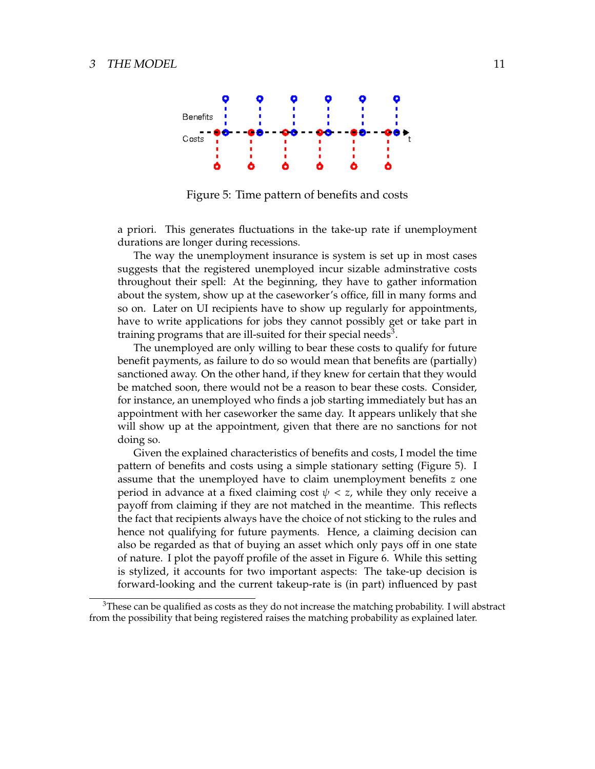

Figure 5: Time pattern of benefits and costs

a priori. This generates fluctuations in the take-up rate if unemployment durations are longer during recessions.

The way the unemployment insurance is system is set up in most cases suggests that the registered unemployed incur sizable adminstrative costs throughout their spell: At the beginning, they have to gather information about the system, show up at the caseworker's office, fill in many forms and so on. Later on UI recipients have to show up regularly for appointments, have to write applications for jobs they cannot possibly get or take part in training programs that are ill-suited for their special needs<sup>3</sup>.

The unemployed are only willing to bear these costs to qualify for future benefit payments, as failure to do so would mean that benefits are (partially) sanctioned away. On the other hand, if they knew for certain that they would be matched soon, there would not be a reason to bear these costs. Consider, for instance, an unemployed who finds a job starting immediately but has an appointment with her caseworker the same day. It appears unlikely that she will show up at the appointment, given that there are no sanctions for not doing so.

Given the explained characteristics of benefits and costs, I model the time pattern of benefits and costs using a simple stationary setting (Figure 5). I assume that the unemployed have to claim unemployment benefits *z* one period in advance at a fixed claiming cost  $\psi < z$ , while they only receive a payoff from claiming if they are not matched in the meantime. This reflects the fact that recipients always have the choice of not sticking to the rules and hence not qualifying for future payments. Hence, a claiming decision can also be regarded as that of buying an asset which only pays off in one state of nature. I plot the payoff profile of the asset in Figure 6. While this setting is stylized, it accounts for two important aspects: The take-up decision is forward-looking and the current takeup-rate is (in part) influenced by past

<sup>&</sup>lt;sup>3</sup>These can be qualified as costs as they do not increase the matching probability. I will abstract from the possibility that being registered raises the matching probability as explained later.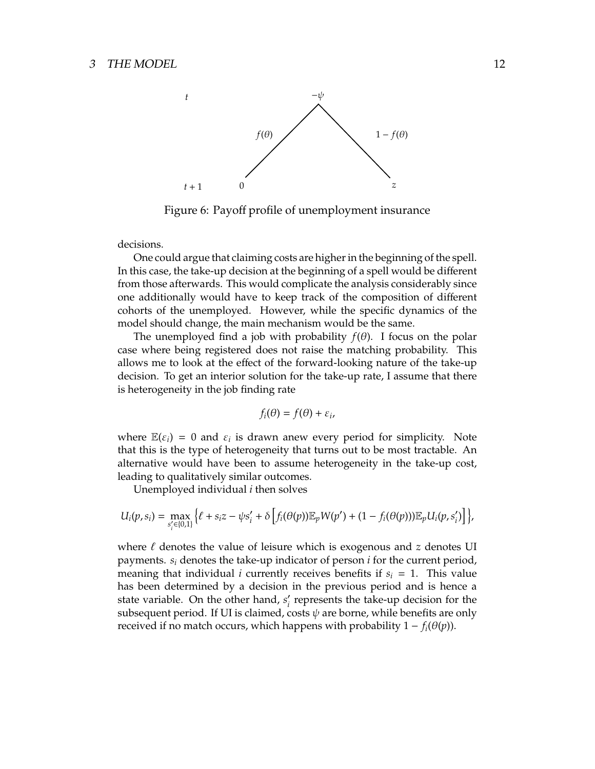

Figure 6: Payoff profile of unemployment insurance

decisions.

One could argue that claiming costs are higher in the beginning of the spell. In this case, the take-up decision at the beginning of a spell would be different from those afterwards. This would complicate the analysis considerably since one additionally would have to keep track of the composition of different cohorts of the unemployed. However, while the specific dynamics of the model should change, the main mechanism would be the same.

The unemployed find a job with probability  $f(\theta)$ . I focus on the polar case where being registered does not raise the matching probability. This allows me to look at the effect of the forward-looking nature of the take-up decision. To get an interior solution for the take-up rate, I assume that there is heterogeneity in the job finding rate

$$
f_i(\theta) = f(\theta) + \varepsilon_i,
$$

where  $\mathbb{E}(\varepsilon_i) = 0$  and  $\varepsilon_i$  is drawn anew every period for simplicity. Note that this is the type of heterogeneity that turns out to be most tractable. An alternative would have been to assume heterogeneity in the take-up cost, leading to qualitatively similar outcomes.

Unemployed individual *i* then solves

$$
U_i(p,s_i)=\max_{s'_i\in\{0,1\}}\Big\{\ell+s_i z-\psi s'_i+\delta\Big[f_i(\theta(p))\mathbb{E}_pW(p')+(1-f_i(\theta(p)))\mathbb{E}_pU_i(p,s'_i)\Big]\Big\},
$$

where ℓ denotes the value of leisure which is exogenous and *z* denotes UI payments. *s<sup>i</sup>* denotes the take-up indicator of person *i* for the current period, meaning that individual *i* currently receives benefits if  $s_i = 1$ . This value has been determined by a decision in the previous period and is hence a state variable. On the other hand, *s* ′ *i* represents the take-up decision for the subsequent period. If UI is claimed, costs  $\psi$  are borne, while benefits are only received if no match occurs, which happens with probability  $1 - f_i(\theta(p))$ .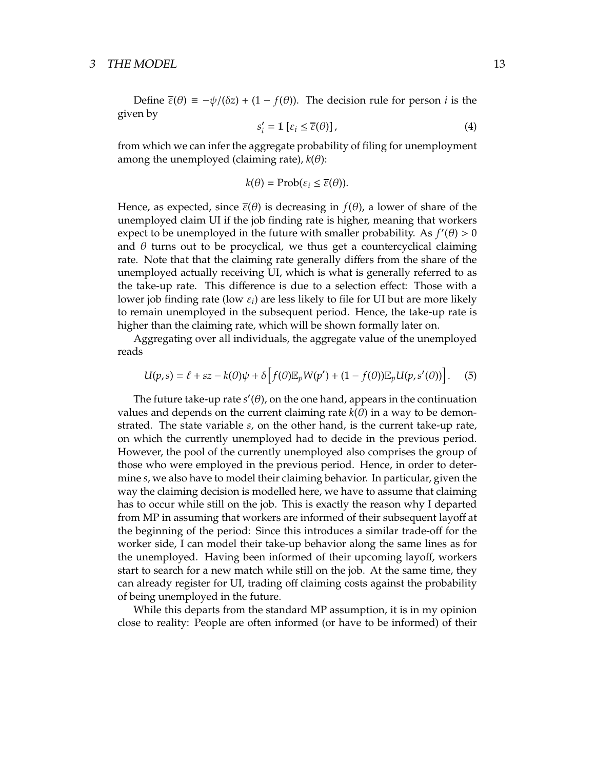Define  $\bar{\varepsilon}(\theta) \equiv -\psi/(\delta z) + (1 - f(\theta))$ . The decision rule for person *i* is the given by

$$
s_i' = \mathbb{1} \left[ \varepsilon_i \le \overline{\varepsilon}(\theta) \right],\tag{4}
$$

from which we can infer the aggregate probability of filing for unemployment among the unemployed (claiming rate),  $k(\theta)$ :

$$
k(\theta) = \text{Prob}(\varepsilon_i \leq \overline{\varepsilon}(\theta)).
$$

Hence, as expected, since  $\bar{\varepsilon}(\theta)$  is decreasing in  $f(\theta)$ , a lower of share of the unemployed claim UI if the job finding rate is higher, meaning that workers expect to be unemployed in the future with smaller probability. As  $f'(\theta) > 0$ and  $\theta$  turns out to be procyclical, we thus get a countercyclical claiming rate. Note that that the claiming rate generally differs from the share of the unemployed actually receiving UI, which is what is generally referred to as the take-up rate. This difference is due to a selection effect: Those with a lower job finding rate (low  $\varepsilon_i$ ) are less likely to file for UI but are more likely to remain unemployed in the subsequent period. Hence, the take-up rate is higher than the claiming rate, which will be shown formally later on.

Aggregating over all individuals, the aggregate value of the unemployed reads

$$
U(p,s) = \ell + sz - k(\theta)\psi + \delta \left[ f(\theta) \mathbb{E}_p W(p') + (1 - f(\theta)) \mathbb{E}_p U(p, s'(\theta)) \right].
$$
 (5)

The future take-up rate  $s'(\theta)$ , on the one hand, appears in the continuation values and depends on the current claiming rate  $k(\theta)$  in a way to be demonstrated. The state variable *s*, on the other hand, is the current take-up rate, on which the currently unemployed had to decide in the previous period. However, the pool of the currently unemployed also comprises the group of those who were employed in the previous period. Hence, in order to determine *s*, we also have to model their claiming behavior. In particular, given the way the claiming decision is modelled here, we have to assume that claiming has to occur while still on the job. This is exactly the reason why I departed from MP in assuming that workers are informed of their subsequent layoff at the beginning of the period: Since this introduces a similar trade-off for the worker side, I can model their take-up behavior along the same lines as for the unemployed. Having been informed of their upcoming layoff, workers start to search for a new match while still on the job. At the same time, they can already register for UI, trading off claiming costs against the probability of being unemployed in the future.

While this departs from the standard MP assumption, it is in my opinion close to reality: People are often informed (or have to be informed) of their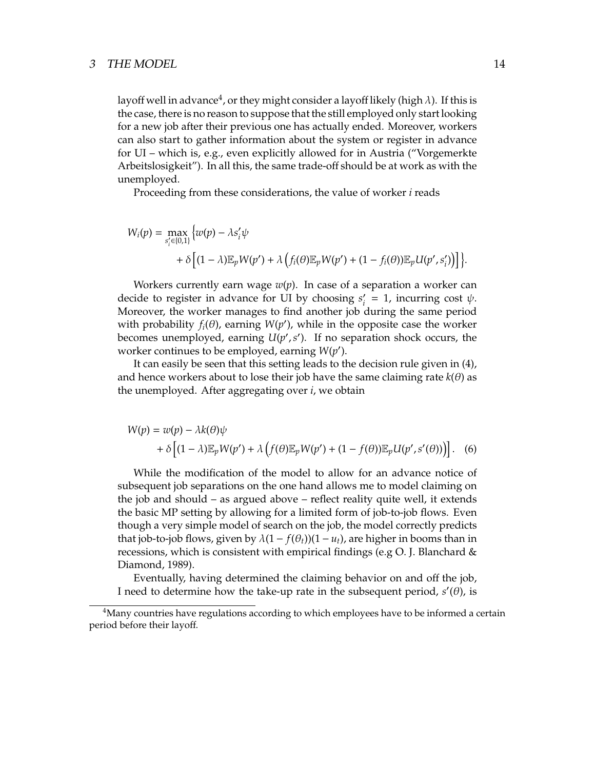#### 3 THE MODEL 14

layoff well in advance $^4$ , or they might consider a layoff likely (high  $\lambda$ ). If this is the case, there is no reason to suppose that the still employed only start looking for a new job after their previous one has actually ended. Moreover, workers can also start to gather information about the system or register in advance for UI – which is, e.g., even explicitly allowed for in Austria ("Vorgemerkte Arbeitslosigkeit"). In all this, the same trade-off should be at work as with the unemployed.

Proceeding from these considerations, the value of worker *i* reads

$$
W_i(p) = \max_{s'_i \in \{0,1\}} \left\{ w(p) - \lambda s'_i \psi + \delta \left[ (1-\lambda) \mathbb{E}_p W(p') + \lambda \left( f_i(\theta) \mathbb{E}_p W(p') + (1 - f_i(\theta)) \mathbb{E}_p U(p', s'_i) \right) \right] \right\}.
$$

Workers currently earn wage  $w(p)$ . In case of a separation a worker can decide to register in advance for UI by choosing *s* ′  $\nu$ <sup>*i*</sup> = 1, incurring cost  $\psi$ . Moreover, the worker manages to find another job during the same period with probability  $f_i(\theta)$ , earning  $W(p')$ , while in the opposite case the worker becomes unemployed, earning  $U(p', s')$ . If no separation shock occurs, the worker continues to be employed, earning *W*(*p* ′ ).

It can easily be seen that this setting leads to the decision rule given in (4), and hence workers about to lose their job have the same claiming rate  $k(\theta)$  as the unemployed. After aggregating over *i*, we obtain

$$
W(p) = w(p) - \lambda k(\theta)\psi
$$
  
+  $\delta \left[ (1 - \lambda) \mathbb{E}_p W(p') + \lambda \left( f(\theta) \mathbb{E}_p W(p') + (1 - f(\theta)) \mathbb{E}_p U(p', s'(\theta)) \right) \right].$  (6)

While the modification of the model to allow for an advance notice of subsequent job separations on the one hand allows me to model claiming on the job and should – as argued above – reflect reality quite well, it extends the basic MP setting by allowing for a limited form of job-to-job flows. Even though a very simple model of search on the job, the model correctly predicts that job-to-job flows, given by  $\lambda(1 - f(\theta_t))(1 - u_t)$ , are higher in booms than in recessions, which is consistent with empirical findings (e.g  $O$ . J. Blanchard  $\&$ Diamond, 1989).

Eventually, having determined the claiming behavior on and off the job, I need to determine how the take-up rate in the subsequent period,  $s'(\theta)$ , is

<sup>&</sup>lt;sup>4</sup>Many countries have regulations according to which employees have to be informed a certain period before their layoff.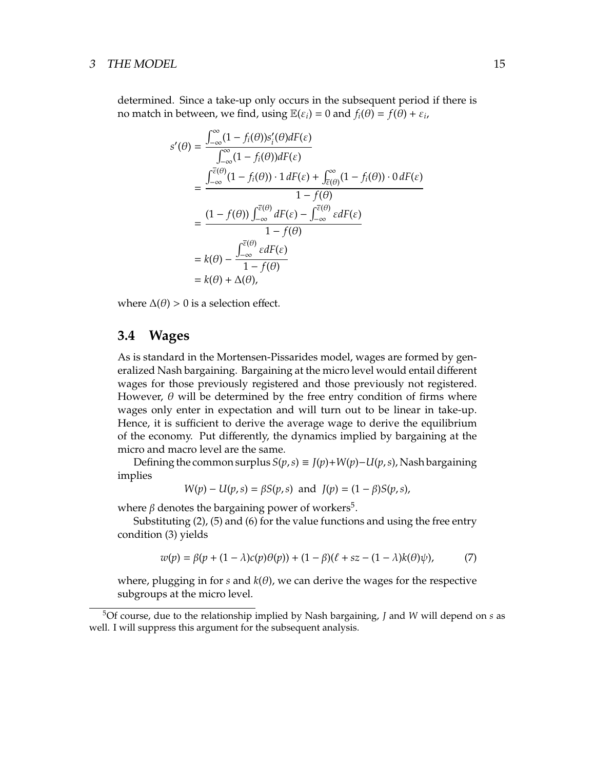#### 3 THE MODEL 25 2008 15

determined. Since a take-up only occurs in the subsequent period if there is no match in between, we find, using  $\mathbb{E}(\varepsilon_i) = 0$  and  $f_i(\theta) = f(\theta) + \varepsilon_i$ ,

$$
s'(\theta) = \frac{\int_{-\infty}^{\infty} (1 - f_i(\theta)) s'_i(\theta) dF(\varepsilon)}{\int_{-\infty}^{\infty} (1 - f_i(\theta)) dF(\varepsilon)}
$$
  
= 
$$
\frac{\int_{-\infty}^{\overline{\varepsilon}(\theta)} (1 - f_i(\theta)) \cdot 1 dF(\varepsilon) + \int_{\overline{\varepsilon}(\theta)}^{\infty} (1 - f_i(\theta)) \cdot 0 dF(\varepsilon)}{1 - f(\theta)}
$$
  
= 
$$
\frac{(1 - f(\theta)) \int_{-\infty}^{\overline{\varepsilon}(\theta)} dF(\varepsilon) - \int_{-\infty}^{\overline{\varepsilon}(\theta)} \varepsilon dF(\varepsilon)}{1 - f(\theta)}
$$
  
= 
$$
k(\theta) - \frac{\int_{-\infty}^{\overline{\varepsilon}(\theta)} \varepsilon dF(\varepsilon)}{1 - f(\theta)}
$$
  
= 
$$
k(\theta) + \Delta(\theta),
$$

where  $\Delta(\theta) > 0$  is a selection effect.

### **3.4 Wages**

As is standard in the Mortensen-Pissarides model, wages are formed by generalized Nash bargaining. Bargaining at the micro level would entail different wages for those previously registered and those previously not registered. However,  $\theta$  will be determined by the free entry condition of firms where wages only enter in expectation and will turn out to be linear in take-up. Hence, it is sufficient to derive the average wage to derive the equilibrium of the economy. Put differently, the dynamics implied by bargaining at the micro and macro level are the same.

Defining the common surplus  $S(p, s) \equiv J(p) + W(p) - U(p, s)$ , Nash bargaining implies

$$
W(p) - U(p, s) = \beta S(p, s)
$$
 and  $J(p) = (1 - \beta)S(p, s)$ ,

where  $\beta$  denotes the bargaining power of workers<sup>5</sup>.

Substituting (2), (5) and (6) for the value functions and using the free entry condition (3) yields

$$
w(p) = \beta(p + (1 - \lambda)c(p)\theta(p)) + (1 - \beta)(\ell + sz - (1 - \lambda)k(\theta)\psi), \tag{7}
$$

where, plugging in for  $s$  and  $k(\theta)$ , we can derive the wages for the respective subgroups at the micro level.

<sup>5</sup>Of course, due to the relationship implied by Nash bargaining, *J* and *W* will depend on *s* as well. I will suppress this argument for the subsequent analysis.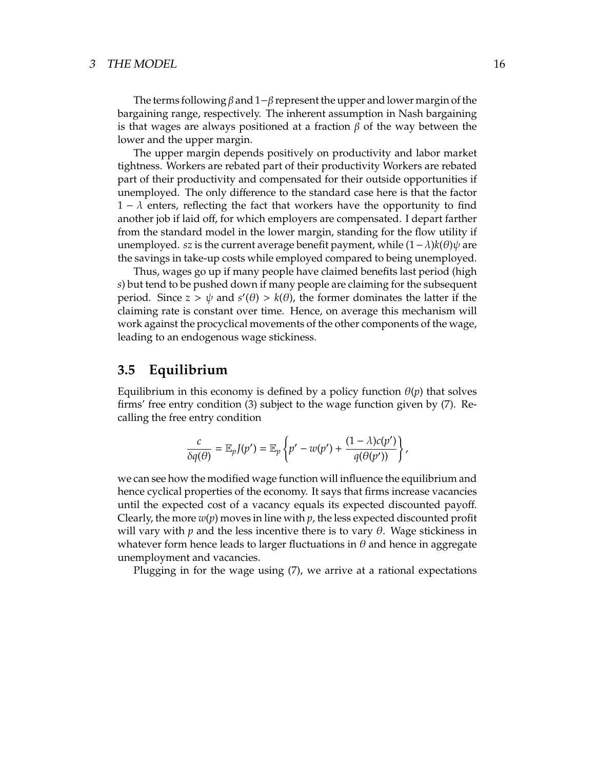The terms following  $\beta$  and 1− $\beta$  represent the upper and lower margin of the bargaining range, respectively. The inherent assumption in Nash bargaining is that wages are always positioned at a fraction  $\beta$  of the way between the lower and the upper margin.

The upper margin depends positively on productivity and labor market tightness. Workers are rebated part of their productivity Workers are rebated part of their productivity and compensated for their outside opportunities if unemployed. The only difference to the standard case here is that the factor  $1 - \lambda$  enters, reflecting the fact that workers have the opportunity to find another job if laid off, for which employers are compensated. I depart farther from the standard model in the lower margin, standing for the flow utility if unemployed. *sz* is the current average benefit payment, while  $(1 − λ)k(θ)ψ$  are the savings in take-up costs while employed compared to being unemployed.

Thus, wages go up if many people have claimed benefits last period (high *s*) but tend to be pushed down if many people are claiming for the subsequent period. Since  $z > \psi$  and  $s'(\theta) > k(\theta)$ , the former dominates the latter if the claiming rate is constant over time. Hence, on average this mechanism will work against the procyclical movements of the other components of the wage, leading to an endogenous wage stickiness.

### **3.5 Equilibrium**

Equilibrium in this economy is defined by a policy function  $\theta(p)$  that solves firms' free entry condition (3) subject to the wage function given by (7). Recalling the free entry condition

$$
\frac{c}{\delta q(\theta)} = \mathbb{E}_p J(p') = \mathbb{E}_p \left\{ p' - w(p') + \frac{(1 - \lambda)c(p')}{q(\theta(p'))} \right\},\,
$$

we can see how the modified wage function will influence the equilibrium and hence cyclical properties of the economy. It says that firms increase vacancies until the expected cost of a vacancy equals its expected discounted payoff. Clearly, the more  $w(p)$  moves in line with  $p$ , the less expected discounted profit will vary with  $p$  and the less incentive there is to vary  $\theta$ . Wage stickiness in whatever form hence leads to larger fluctuations in  $\theta$  and hence in aggregate unemployment and vacancies.

Plugging in for the wage using (7), we arrive at a rational expectations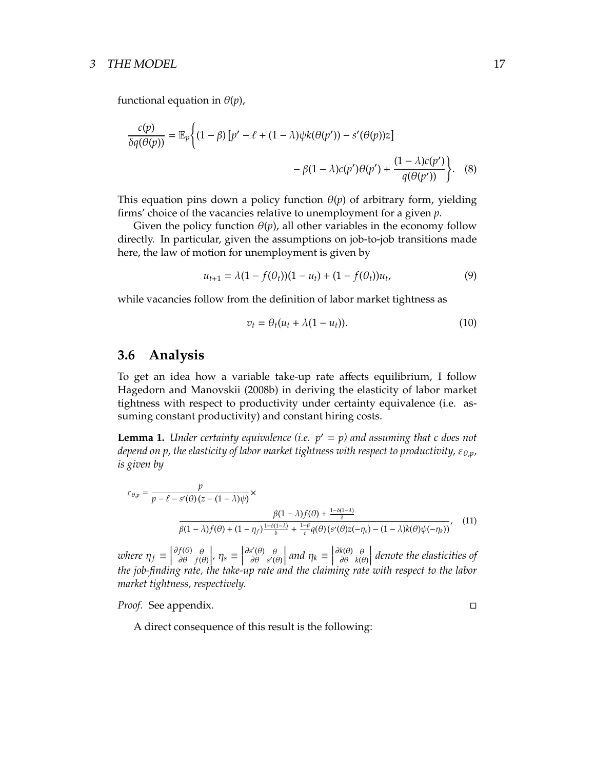#### 3 THE MODEL 17

functional equation in  $\theta(p)$ ,

$$
\frac{c(p)}{\delta q(\theta(p))} = \mathbb{E}_p \Bigg\{ (1 - \beta) \left[ p' - \ell + (1 - \lambda) \psi k(\theta(p')) - s'(\theta(p)) z \right] - \beta (1 - \lambda) c(p') \theta(p') + \frac{(1 - \lambda) c(p')}{q(\theta(p'))} \Bigg\}. \tag{8}
$$

This equation pins down a policy function  $\theta(p)$  of arbitrary form, yielding firms' choice of the vacancies relative to unemployment for a given *p*.

Given the policy function  $\theta(p)$ , all other variables in the economy follow directly. In particular, given the assumptions on job-to-job transitions made here, the law of motion for unemployment is given by

$$
u_{t+1} = \lambda (1 - f(\theta_t)) (1 - u_t) + (1 - f(\theta_t)) u_t, \tag{9}
$$

while vacancies follow from the definition of labor market tightness as

$$
v_t = \theta_t (u_t + \lambda (1 - u_t)). \tag{10}
$$

### **3.6 Analysis**

To get an idea how a variable take-up rate affects equilibrium, I follow Hagedorn and Manovskii (2008b) in deriving the elasticity of labor market tightness with respect to productivity under certainty equivalence (i.e. assuming constant productivity) and constant hiring costs.

**Lemma 1.** *Under certainty equivalence (i.e.*  $p' = p$ *) and assuming that c does not depend on p, the elasticity of labor market tightness with respect to productivity, ε<sub>θ,p</sub>, is given by*

$$
\varepsilon_{\theta,p} = \frac{p}{p - \ell - s'(\theta)(z - (1 - \lambda)\psi)} \times \frac{\beta(1 - \lambda)f(\theta) + \frac{1 - \delta(1 - \lambda)}{\delta}}{\beta(1 - \lambda)f(\theta) + (1 - \eta_f)\frac{1 - \delta(1 - \lambda)}{\delta} + \frac{1 - \beta}{c}q(\theta)(s'(\theta)z(-\eta_s) - (1 - \lambda)k(\theta)\psi(-\eta_k))},
$$
(11)

*where*  $\eta_f \equiv$ ∂ *f*(θ) ∂θ θ *f*(θ)  $\left| \rho, \eta_s \equiv \right|$ ∂*s* ′ (θ) ∂θ θ *s* ′ (θ)  $\left| \begin{array}{c} \text{and } \eta_k \equiv \end{array} \right|$ ∂*k*(θ) ∂θ θ *k*(θ) *denote the elasticities of the job-finding rate, the take-up rate and the claiming rate with respect to the labor market tightness, respectively.*

*Proof.* See appendix. □

A direct consequence of this result is the following: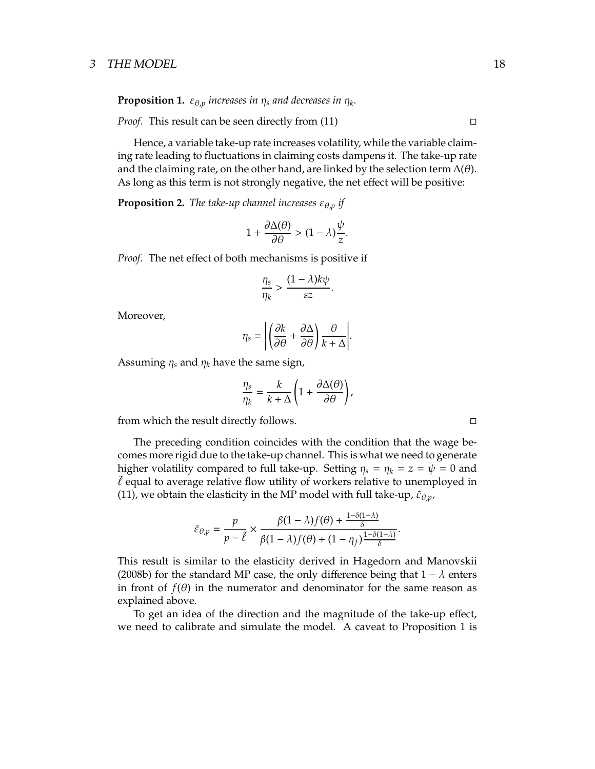**Proposition 1.**  $\varepsilon_{\theta,p}$  increases in  $\eta_s$  and decreases in  $\eta_k$ .

*Proof.* This result can be seen directly from  $(11)$   $\Box$ 

Hence, a variable take-up rate increases volatility, while the variable claiming rate leading to fluctuations in claiming costs dampens it. The take-up rate and the claiming rate, on the other hand, are linked by the selection term  $\Delta(\theta)$ . As long as this term is not strongly negative, the net effect will be positive:

**Proposition 2.** *The take-up channel increases*  $\varepsilon_{\theta,p}$  *if* 

$$
1 + \frac{\partial \Delta(\theta)}{\partial \theta} > (1 - \lambda) \frac{\psi}{z}.
$$

*Proof.* The net effect of both mechanisms is positive if

$$
\frac{\eta_s}{\eta_k} > \frac{(1-\lambda)k\psi}{sz}
$$

.

Moreover,

$$
\eta_s = \left| \left( \frac{\partial k}{\partial \theta} + \frac{\partial \Delta}{\partial \theta} \right) \frac{\theta}{k+\Delta} \right|.
$$

Assuming  $\eta_s$  and  $\eta_k$  have the same sign,

$$
\frac{\eta_s}{\eta_k} = \frac{k}{k+\Delta} \left( 1 + \frac{\partial \Delta(\theta)}{\partial \theta} \right),
$$

from which the result directly follows.  $\Box$ 

The preceding condition coincides with the condition that the wage becomes more rigid due to the take-up channel. This is what we need to generate higher volatility compared to full take-up. Setting  $\eta_s = \eta_k = z = \psi = 0$  and  $\ell$  equal to average relative flow utility of workers relative to unemployed in (11), we obtain the elasticity in the MP model with full take-up,  $\tilde{\varepsilon}_{\theta,p}$ ,

$$
\tilde{\varepsilon}_{\theta,p} = \frac{p}{p-\tilde{\ell}} \times \frac{\beta(1-\lambda)f(\theta) + \frac{1-\delta(1-\lambda)}{\delta}}{\beta(1-\lambda)f(\theta) + (1-\eta_f)\frac{1-\delta(1-\lambda)}{\delta}}.
$$

1−δ(1−λ)

This result is similar to the elasticity derived in Hagedorn and Manovskii (2008b) for the standard MP case, the only difference being that  $1 - \lambda$  enters in front of  $f(\theta)$  in the numerator and denominator for the same reason as explained above.

To get an idea of the direction and the magnitude of the take-up effect, we need to calibrate and simulate the model. A caveat to Proposition 1 is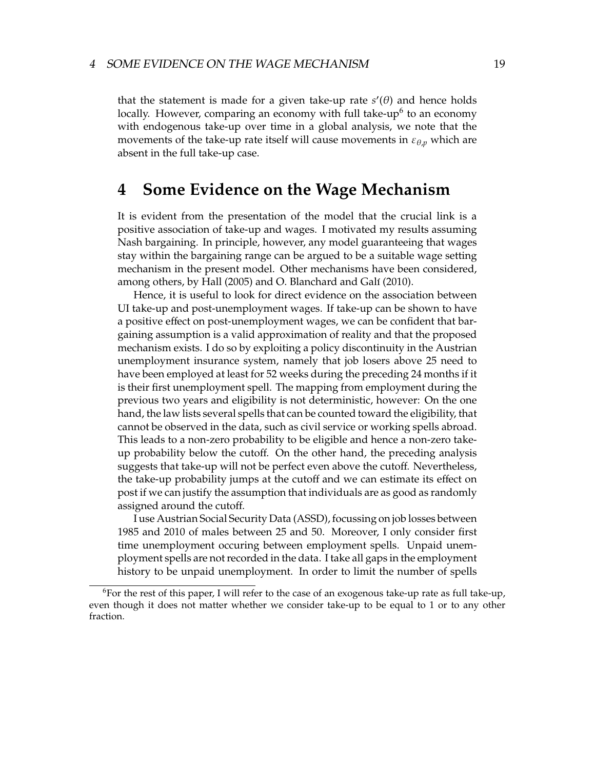that the statement is made for a given take-up rate  $s'(\theta)$  and hence holds locally. However, comparing an economy with full take-up<sup>6</sup> to an economy with endogenous take-up over time in a global analysis, we note that the movements of the take-up rate itself will cause movements in  $\varepsilon_{\theta,\nu}$  which are absent in the full take-up case.

## **4 Some Evidence on the Wage Mechanism**

It is evident from the presentation of the model that the crucial link is a positive association of take-up and wages. I motivated my results assuming Nash bargaining. In principle, however, any model guaranteeing that wages stay within the bargaining range can be argued to be a suitable wage setting mechanism in the present model. Other mechanisms have been considered, among others, by Hall (2005) and O. Blanchard and Galí (2010).

Hence, it is useful to look for direct evidence on the association between UI take-up and post-unemployment wages. If take-up can be shown to have a positive effect on post-unemployment wages, we can be confident that bargaining assumption is a valid approximation of reality and that the proposed mechanism exists. I do so by exploiting a policy discontinuity in the Austrian unemployment insurance system, namely that job losers above 25 need to have been employed at least for 52 weeks during the preceding 24 months if it is their first unemployment spell. The mapping from employment during the previous two years and eligibility is not deterministic, however: On the one hand, the law lists several spells that can be counted toward the eligibility, that cannot be observed in the data, such as civil service or working spells abroad. This leads to a non-zero probability to be eligible and hence a non-zero takeup probability below the cutoff. On the other hand, the preceding analysis suggests that take-up will not be perfect even above the cutoff. Nevertheless, the take-up probability jumps at the cutoff and we can estimate its effect on post if we can justify the assumption that individuals are as good as randomly assigned around the cutoff.

I use Austrian Social Security Data (ASSD), focussing on job losses between 1985 and 2010 of males between 25 and 50. Moreover, I only consider first time unemployment occuring between employment spells. Unpaid unemployment spells are not recorded in the data. I take all gaps in the employment history to be unpaid unemployment. In order to limit the number of spells

<sup>&</sup>lt;sup>6</sup>For the rest of this paper, I will refer to the case of an exogenous take-up rate as full take-up, even though it does not matter whether we consider take-up to be equal to 1 or to any other fraction.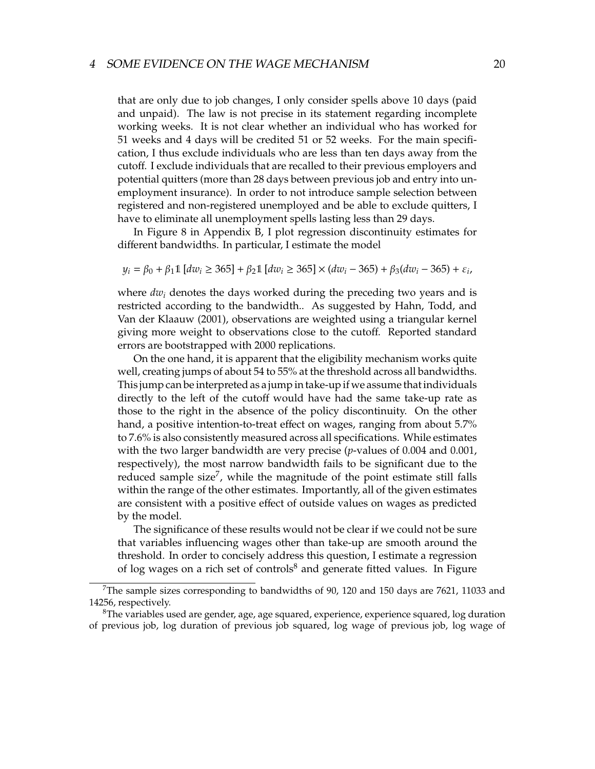#### <sup>4</sup> SOME EVIDENCE ON THE WAGE MECHANISM 20

that are only due to job changes, I only consider spells above 10 days (paid and unpaid). The law is not precise in its statement regarding incomplete working weeks. It is not clear whether an individual who has worked for 51 weeks and 4 days will be credited 51 or 52 weeks. For the main specification, I thus exclude individuals who are less than ten days away from the cutoff. I exclude individuals that are recalled to their previous employers and potential quitters (more than 28 days between previous job and entry into unemployment insurance). In order to not introduce sample selection between registered and non-registered unemployed and be able to exclude quitters, I have to eliminate all unemployment spells lasting less than 29 days.

In Figure 8 in Appendix B, I plot regression discontinuity estimates for different bandwidths. In particular, I estimate the model

$$
y_i = \beta_0 + \beta_1 \mathbb{1} \left[ dw_i \ge 365 \right] + \beta_2 \mathbb{1} \left[ dw_i \ge 365 \right] \times (dw_i - 365) + \beta_3 (dw_i - 365) + \varepsilon_i,
$$

where  $dw_i$  denotes the days worked during the preceding two years and is restricted according to the bandwidth.. As suggested by Hahn, Todd, and Van der Klaauw (2001), observations are weighted using a triangular kernel giving more weight to observations close to the cutoff. Reported standard errors are bootstrapped with 2000 replications.

On the one hand, it is apparent that the eligibility mechanism works quite well, creating jumps of about 54 to 55% at the threshold across all bandwidths. This jump can be interpreted as a jump in take-up if we assume that individuals directly to the left of the cutoff would have had the same take-up rate as those to the right in the absence of the policy discontinuity. On the other hand, a positive intention-to-treat effect on wages, ranging from about 5.7% to 7.6% is also consistently measured across all specifications. While estimates with the two larger bandwidth are very precise (*p*-values of 0.004 and 0.001, respectively), the most narrow bandwidth fails to be significant due to the reduced sample size<sup>7</sup>, while the magnitude of the point estimate still falls within the range of the other estimates. Importantly, all of the given estimates are consistent with a positive effect of outside values on wages as predicted by the model.

The significance of these results would not be clear if we could not be sure that variables influencing wages other than take-up are smooth around the threshold. In order to concisely address this question, I estimate a regression of log wages on a rich set of controls $\delta$  and generate fitted values. In Figure

<sup>&</sup>lt;sup>7</sup>The sample sizes corresponding to bandwidths of 90, 120 and 150 days are 7621, 11033 and 14256, respectively.

 ${}^{8}$ The variables used are gender, age, age squared, experience, experience squared, log duration of previous job, log duration of previous job squared, log wage of previous job, log wage of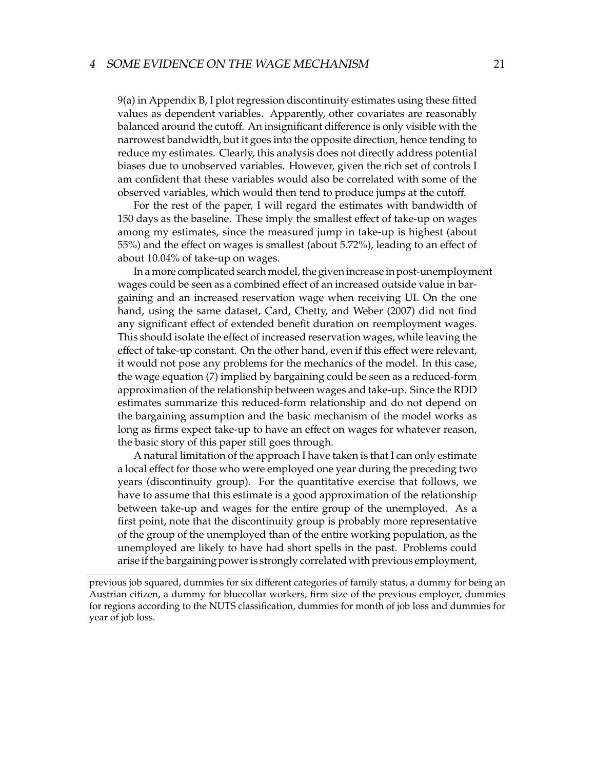#### <sup>4</sup> SOME EVIDENCE ON THE WAGE MECHANISM 21

9(a) in Appendix B, I plot regression discontinuity estimates using these fitted values as dependent variables. Apparently, other covariates are reasonably balanced around the cutoff. An insignificant difference is only visible with the narrowest bandwidth, but it goes into the opposite direction, hence tending to reduce my estimates. Clearly, this analysis does not directly address potential biases due to unobserved variables. However, given the rich set of controls I am confident that these variables would also be correlated with some of the observed variables, which would then tend to produce jumps at the cutoff.

For the rest of the paper, I will regard the estimates with bandwidth of 150 days as the baseline. These imply the smallest effect of take-up on wages among my estimates, since the measured jump in take-up is highest (about 55%) and the effect on wages is smallest (about 5.72%), leading to an effect of about 10.04% of take-up on wages.

In a more complicated search model, the given increase in post-unemployment wages could be seen as a combined effect of an increased outside value in bargaining and an increased reservation wage when receiving UI. On the one hand, using the same dataset, Card, Chetty, and Weber (2007) did not find any significant effect of extended benefit duration on reemployment wages. This should isolate the effect of increased reservation wages, while leaving the effect of take-up constant. On the other hand, even if this effect were relevant, it would not pose any problems for the mechanics of the model. In this case, the wage equation (7) implied by bargaining could be seen as a reduced-form approximation of the relationship between wages and take-up. Since the RDD estimates summarize this reduced-form relationship and do not depend on the bargaining assumption and the basic mechanism of the model works as long as firms expect take-up to have an effect on wages for whatever reason, the basic story of this paper still goes through.

A natural limitation of the approach I have taken is that I can only estimate a local effect for those who were employed one year during the preceding two years (discontinuity group). For the quantitative exercise that follows, we have to assume that this estimate is a good approximation of the relationship between take-up and wages for the entire group of the unemployed. As a first point, note that the discontinuity group is probably more representative of the group of the unemployed than of the entire working population, as the unemployed are likely to have had short spells in the past. Problems could arise if the bargaining power is strongly correlated with previous employment,

previous job squared, dummies for six different categories of family status, a dummy for being an Austrian citizen, a dummy for bluecollar workers, firm size of the previous employer, dummies for regions according to the NUTS classification, dummies for month of job loss and dummies for year of job loss.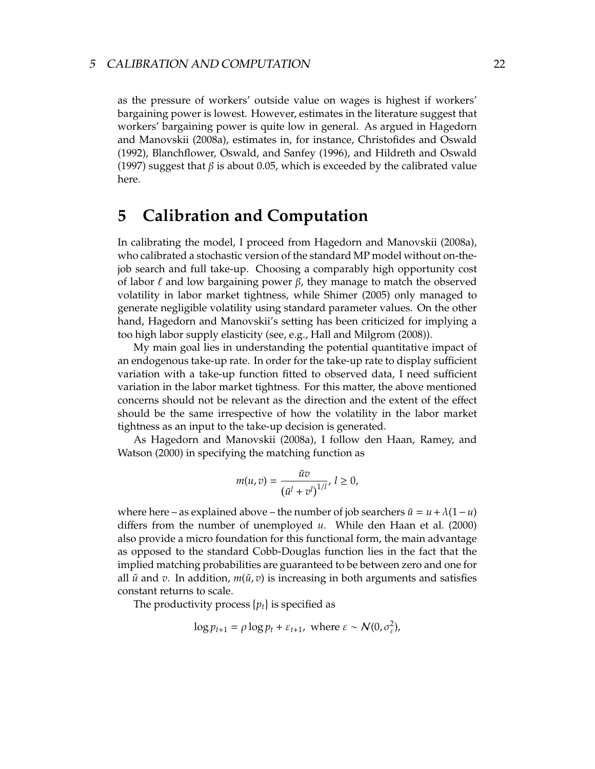as the pressure of workers' outside value on wages is highest if workers' bargaining power is lowest. However, estimates in the literature suggest that workers' bargaining power is quite low in general. As argued in Hagedorn and Manovskii (2008a), estimates in, for instance, Christofides and Oswald (1992), Blanchflower, Oswald, and Sanfey (1996), and Hildreth and Oswald (1997) suggest that  $\beta$  is about 0.05, which is exceeded by the calibrated value here.

## **5 Calibration and Computation**

In calibrating the model, I proceed from Hagedorn and Manovskii (2008a), who calibrated a stochastic version of the standard MP model without on-thejob search and full take-up. Choosing a comparably high opportunity cost of labor  $\ell$  and low bargaining power  $\beta$ , they manage to match the observed volatility in labor market tightness, while Shimer (2005) only managed to generate negligible volatility using standard parameter values. On the other hand, Hagedorn and Manovskii's setting has been criticized for implying a too high labor supply elasticity (see, e.g., Hall and Milgrom (2008)).

My main goal lies in understanding the potential quantitative impact of an endogenous take-up rate. In order for the take-up rate to display sufficient variation with a take-up function fitted to observed data, I need sufficient variation in the labor market tightness. For this matter, the above mentioned concerns should not be relevant as the direction and the extent of the effect should be the same irrespective of how the volatility in the labor market tightness as an input to the take-up decision is generated.

As Hagedorn and Manovskii (2008a), I follow den Haan, Ramey, and Watson (2000) in specifying the matching function as

$$
m(u, v) = \frac{\tilde{u}v}{(\tilde{u}^l + v^l)^{1/l}}, l \ge 0,
$$

where here – as explained above – the number of job searchers  $\tilde{u} = u + \lambda(1 - u)$ differs from the number of unemployed *u*. While den Haan et al. (2000) also provide a micro foundation for this functional form, the main advantage as opposed to the standard Cobb-Douglas function lies in the fact that the implied matching probabilities are guaranteed to be between zero and one for all  $\tilde{u}$  and *v*. In addition,  $m(\tilde{u}, v)$  is increasing in both arguments and satisfies constant returns to scale.

The productivity process  $\{p_t\}$  is specified as

$$
\log p_{t+1} = \rho \log p_t + \varepsilon_{t+1}, \text{ where } \varepsilon \sim \mathcal{N}(0, \sigma_{\varepsilon}^2),
$$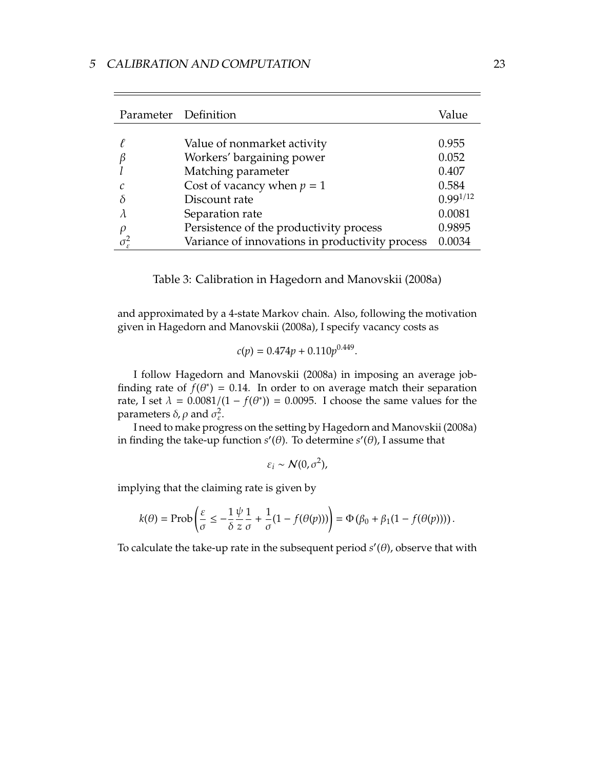| Parameter Definition |                                                 | Value         |
|----------------------|-------------------------------------------------|---------------|
| ł.                   | Value of nonmarket activity                     | 0.955         |
| $\beta$              | Workers' bargaining power                       | 0.052         |
|                      | Matching parameter                              | 0.407         |
| C                    | Cost of vacancy when $p = 1$                    | 0.584         |
| $\delta$             | Discount rate                                   | $0.99^{1/12}$ |
|                      | Separation rate                                 | 0.0081        |
| $\rho$               | Persistence of the productivity process         | 0.9895        |
| $\sigma_{\rm s}^2$   | Variance of innovations in productivity process | 0.0034        |

Table 3: Calibration in Hagedorn and Manovskii (2008a)

and approximated by a 4-state Markov chain. Also, following the motivation given in Hagedorn and Manovskii (2008a), I specify vacancy costs as

$$
c(p) = 0.474p + 0.110p^{0.449}.
$$

I follow Hagedorn and Manovskii (2008a) in imposing an average jobfinding rate of  $f(\theta^*) = 0.14$ . In order to on average match their separation rate, I set  $\lambda = 0.0081/(1 - f(\theta^*)) = 0.0095$ . I choose the same values for the parameters  $\delta$ ,  $\rho$  and  $\sigma_{\varepsilon}^2$ .

I need to make progress on the setting by Hagedorn and Manovskii (2008a) in finding the take-up function  $s'(\theta)$ . To determine  $s'(\theta)$ , I assume that

$$
\varepsilon_i \sim \mathcal{N}(0, \sigma^2),
$$

implying that the claiming rate is given by

$$
k(\theta) = \text{Prob}\left(\frac{\varepsilon}{\sigma} \le -\frac{1}{\delta} \frac{\psi}{z} \frac{1}{\sigma} + \frac{1}{\sigma} (1 - f(\theta(p)))\right) = \Phi\left(\beta_0 + \beta_1 (1 - f(\theta(p)))\right).
$$

To calculate the take-up rate in the subsequent period  $s'(\theta)$ , observe that with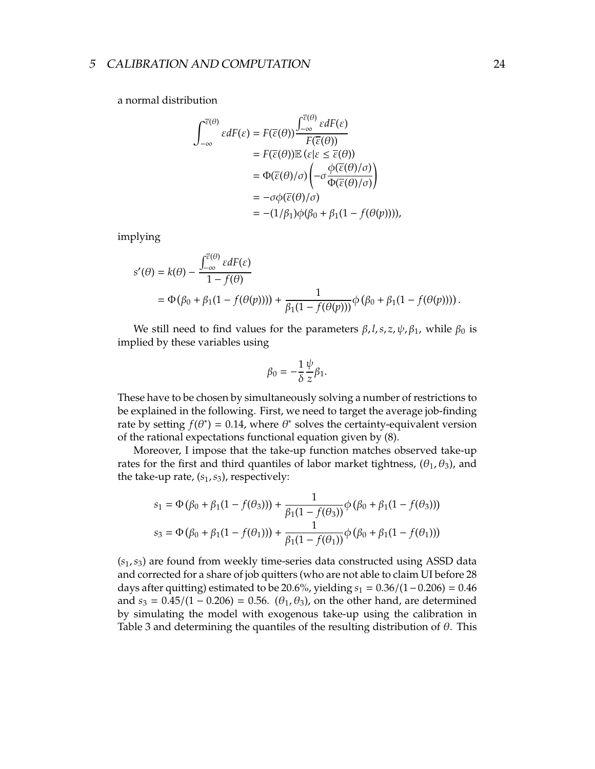a normal distribution

$$
\int_{-\infty}^{\overline{\varepsilon}(\theta)} \varepsilon dF(\varepsilon) = F(\overline{\varepsilon}(\theta)) \frac{\int_{-\infty}^{\overline{\varepsilon}(\theta)} \varepsilon dF(\varepsilon)}{F(\overline{\varepsilon}(\theta))}
$$
  
\n
$$
= F(\overline{\varepsilon}(\theta)) \mathbb{E} (\varepsilon | \varepsilon \leq \overline{\varepsilon}(\theta))
$$
  
\n
$$
= \Phi(\overline{\varepsilon}(\theta)/\sigma) \left( -\sigma \frac{\phi(\overline{\varepsilon}(\theta)/\sigma)}{\Phi(\overline{\varepsilon}(\theta)/\sigma)} \right)
$$
  
\n
$$
= -\sigma \phi(\overline{\varepsilon}(\theta)/\sigma)
$$
  
\n
$$
= -(1/\beta_1)\phi(\beta_0 + \beta_1(1 - f(\theta(p))))
$$

implying

$$
s'(\theta) = k(\theta) - \frac{\int_{-\infty}^{\overline{\varepsilon}(\theta)} \varepsilon dF(\varepsilon)}{1 - f(\theta)}
$$
  
=  $\Phi(\beta_0 + \beta_1(1 - f(\theta(p)))) + \frac{1}{\beta_1(1 - f(\theta(p)))} \phi(\beta_0 + \beta_1(1 - f(\theta(p))))$ .

We still need to find values for the parameters  $\beta$ , *l*, *s*, *z*,  $\psi$ ,  $\beta_1$ , while  $\beta_0$  is implied by these variables using

$$
\beta_0 = -\frac{1}{\delta} \frac{\psi}{z} \beta_1.
$$

These have to be chosen by simultaneously solving a number of restrictions to be explained in the following. First, we need to target the average job-finding rate by setting  $f(\theta^*) = 0.14$ , where  $\theta^*$  solves the certainty-equivalent version of the rational expectations functional equation given by (8).

Moreover, I impose that the take-up function matches observed take-up rates for the first and third quantiles of labor market tightness,  $(\theta_1, \theta_3)$ , and the take-up rate,  $(s_1, s_3)$ , respectively:

$$
s_1 = \Phi(\beta_0 + \beta_1(1 - f(\theta_3))) + \frac{1}{\beta_1(1 - f(\theta_3))}\phi(\beta_0 + \beta_1(1 - f(\theta_3)))
$$
  

$$
s_3 = \Phi(\beta_0 + \beta_1(1 - f(\theta_1))) + \frac{1}{\beta_1(1 - f(\theta_1))}\phi(\beta_0 + \beta_1(1 - f(\theta_1)))
$$

(*s*1,*s*3) are found from weekly time-series data constructed using ASSD data and corrected for a share of job quitters (who are not able to claim UI before 28 days after quitting) estimated to be 20.6%, yielding *s*<sup>1</sup> = 0.36/(1−0.206) = 0.46 and  $s_3 = 0.45/(1 - 0.206) = 0.56$ .  $(\theta_1, \theta_3)$ , on the other hand, are determined by simulating the model with exogenous take-up using the calibration in Table 3 and determining the quantiles of the resulting distribution of  $\theta$ . This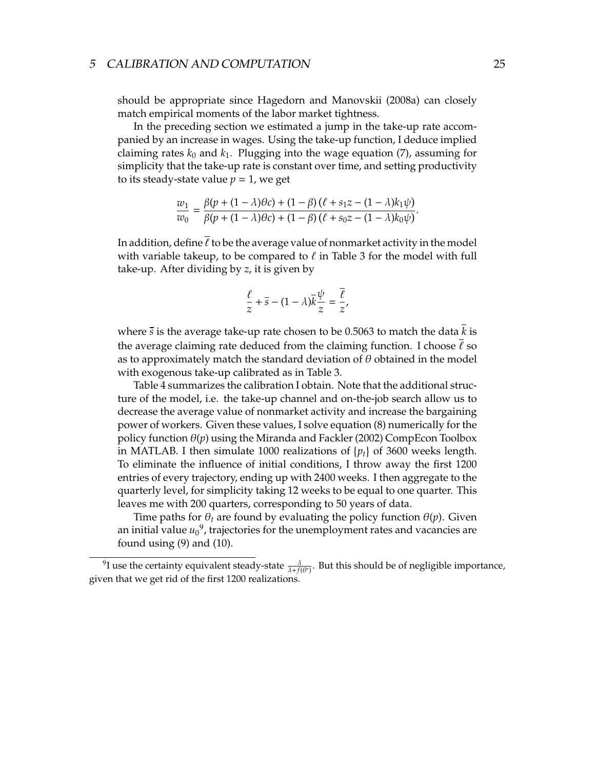should be appropriate since Hagedorn and Manovskii (2008a) can closely match empirical moments of the labor market tightness.

In the preceding section we estimated a jump in the take-up rate accompanied by an increase in wages. Using the take-up function, I deduce implied claiming rates  $k_0$  and  $k_1$ . Plugging into the wage equation (7), assuming for simplicity that the take-up rate is constant over time, and setting productivity to its steady-state value  $p = 1$ , we get

$$
\frac{w_1}{w_0} = \frac{\beta(p + (1 - \lambda)\theta c) + (1 - \beta)(\ell + s_1 z - (1 - \lambda)k_1\psi)}{\beta(p + (1 - \lambda)\theta c) + (1 - \beta)(\ell + s_0 z - (1 - \lambda)k_0\psi)}.
$$

In addition, define  $\bar{\ell}$  to be the average value of nonmarket activity in the model with variable takeup, to be compared to  $\ell$  in Table 3 for the model with full take-up. After dividing by *z*, it is given by

$$
\frac{\ell}{z} + \overline{s} - (1 - \lambda)\overline{k}\frac{\psi}{z} = \frac{\overline{\ell}}{z},
$$

where *s* is the average take-up rate chosen to be 0.5063 to match the data *k* is the average claiming rate deduced from the claiming function. I choose  $\ell$  so as to approximately match the standard deviation of  $\theta$  obtained in the model with exogenous take-up calibrated as in Table 3.

Table 4 summarizes the calibration I obtain. Note that the additional structure of the model, i.e. the take-up channel and on-the-job search allow us to decrease the average value of nonmarket activity and increase the bargaining power of workers. Given these values, I solve equation (8) numerically for the policy function  $\theta(p)$  using the Miranda and Fackler (2002) CompEcon Toolbox in MATLAB. I then simulate 1000 realizations of  $\{p_t\}$  of 3600 weeks length. To eliminate the influence of initial conditions, I throw away the first 1200 entries of every trajectory, ending up with 2400 weeks. I then aggregate to the quarterly level, for simplicity taking 12 weeks to be equal to one quarter. This leaves me with 200 quarters, corresponding to 50 years of data.

Time paths for  $\theta_t$  are found by evaluating the policy function  $\theta(p)$ . Given an initial value  ${u_0}^9$ , trajectories for the unemployment rates and vacancies are found using (9) and (10).

 $^9$ I use the certainty equivalent steady-state  $\frac{\lambda}{\lambda+f(\theta^*)}$ . But this should be of negligible importance, given that we get rid of the first 1200 realizations.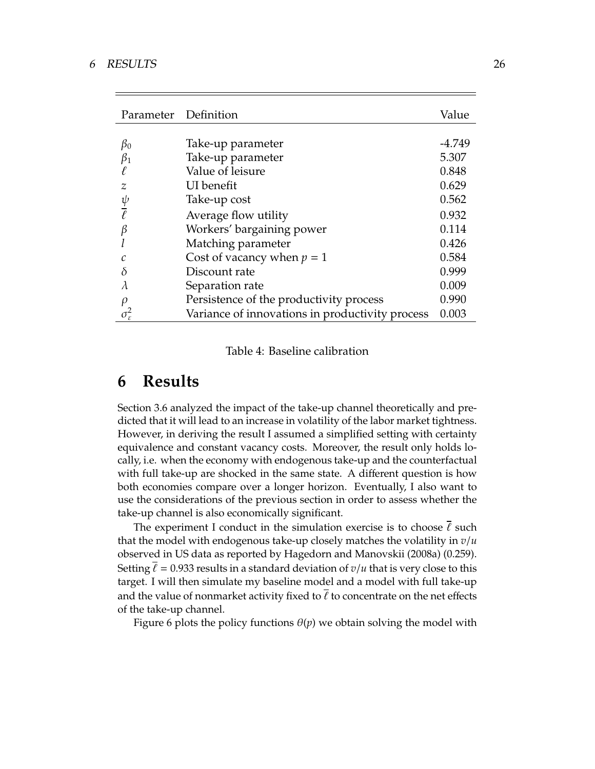| Parameter Definition     |                                                 | Value  |
|--------------------------|-------------------------------------------------|--------|
|                          |                                                 |        |
| $\beta_0$                | Take-up parameter                               | -4.749 |
| $\beta_1$                | Take-up parameter                               | 5.307  |
| $\ell$                   | Value of leisure                                | 0.848  |
| $\mathcal{Z}$            | UI benefit                                      | 0.629  |
|                          | Take-up cost                                    | 0.562  |
| $\frac{\psi}{\ell}$      | Average flow utility                            | 0.932  |
| $\beta$                  | Workers' bargaining power                       | 0.114  |
|                          | Matching parameter                              | 0.426  |
|                          | Cost of vacancy when $p = 1$                    | 0.584  |
| $\delta$                 | Discount rate                                   | 0.999  |
| λ                        | Separation rate                                 | 0.009  |
| $\rho$                   | Persistence of the productivity process         | 0.990  |
| $\sigma_{\varepsilon}^2$ | Variance of innovations in productivity process | 0.003  |

Table 4: Baseline calibration

## **6 Results**

Section 3.6 analyzed the impact of the take-up channel theoretically and predicted that it will lead to an increase in volatility of the labor market tightness. However, in deriving the result I assumed a simplified setting with certainty equivalence and constant vacancy costs. Moreover, the result only holds locally, i.e. when the economy with endogenous take-up and the counterfactual with full take-up are shocked in the same state. A different question is how both economies compare over a longer horizon. Eventually, I also want to use the considerations of the previous section in order to assess whether the take-up channel is also economically significant.

The experiment I conduct in the simulation exercise is to choose  $\ell$  such that the model with endogenous take-up closely matches the volatility in *v*/*u* observed in US data as reported by Hagedorn and Manovskii (2008a) (0.259). Setting  $\ell = 0.933$  results in a standard deviation of  $v/u$  that is very close to this target. I will then simulate my baseline model and a model with full take-up and the value of nonmarket activity fixed to  $\bar{\ell}$  to concentrate on the net effects of the take-up channel.

Figure 6 plots the policy functions  $\theta(p)$  we obtain solving the model with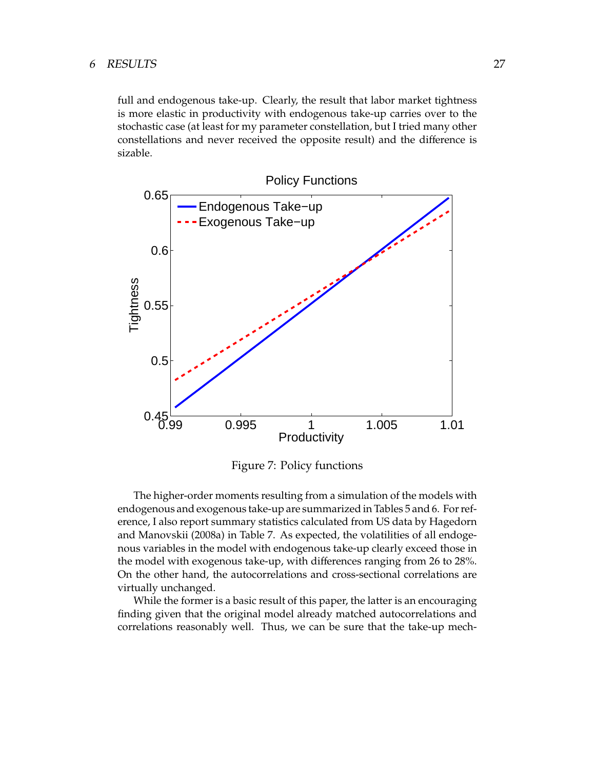full and endogenous take-up. Clearly, the result that labor market tightness is more elastic in productivity with endogenous take-up carries over to the stochastic case (at least for my parameter constellation, but I tried many other constellations and never received the opposite result) and the difference is sizable.



Figure 7: Policy functions

The higher-order moments resulting from a simulation of the models with endogenous and exogenous take-up are summarized in Tables 5 and 6. For reference, I also report summary statistics calculated from US data by Hagedorn and Manovskii (2008a) in Table 7. As expected, the volatilities of all endogenous variables in the model with endogenous take-up clearly exceed those in the model with exogenous take-up, with differences ranging from 26 to 28%. On the other hand, the autocorrelations and cross-sectional correlations are virtually unchanged.

While the former is a basic result of this paper, the latter is an encouraging finding given that the original model already matched autocorrelations and correlations reasonably well. Thus, we can be sure that the take-up mech-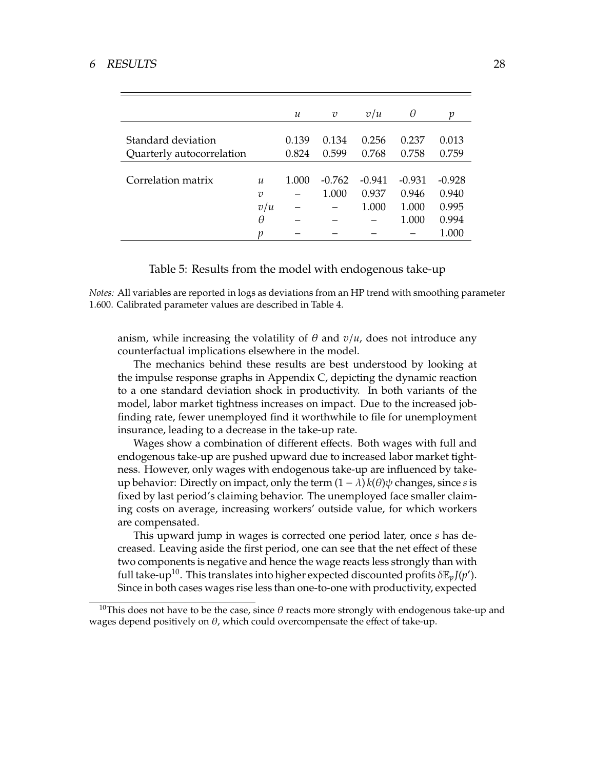#### 6 RESULTS 28

|                                                 |                       | $\mathcal{U}$  | $\overline{v}$ | v/u            | θ              | ŋ              |
|-------------------------------------------------|-----------------------|----------------|----------------|----------------|----------------|----------------|
| Standard deviation<br>Quarterly autocorrelation |                       | 0.139<br>0.824 | 0.134<br>0.599 | 0.256<br>0.768 | 0.237<br>0.758 | 0.013<br>0.759 |
| Correlation matrix                              | $\mathcal{U}$         | 1.000          | $-0.762$       | $-0.941$       | $-0.931$       | $-0.928$       |
|                                                 | $\overline{v}$<br>v/u |                | 1.000          | 0.937<br>1.000 | 0.946<br>1.000 | 0.940<br>0.995 |
|                                                 | θ<br>v                |                |                |                | 1.000          | 0.994<br>1.000 |

Table 5: Results from the model with endogenous take-up

*Notes:* All variables are reported in logs as deviations from an HP trend with smoothing parameter 1.600. Calibrated parameter values are described in Table 4.

anism, while increasing the volatility of  $\theta$  and  $v/u$ , does not introduce any counterfactual implications elsewhere in the model.

The mechanics behind these results are best understood by looking at the impulse response graphs in Appendix C, depicting the dynamic reaction to a one standard deviation shock in productivity. In both variants of the model, labor market tightness increases on impact. Due to the increased jobfinding rate, fewer unemployed find it worthwhile to file for unemployment insurance, leading to a decrease in the take-up rate.

Wages show a combination of different effects. Both wages with full and endogenous take-up are pushed upward due to increased labor market tightness. However, only wages with endogenous take-up are influenced by takeup behavior: Directly on impact, only the term  $(1 - \lambda) k(\theta) \psi$  changes, since *s* is fixed by last period's claiming behavior. The unemployed face smaller claiming costs on average, increasing workers' outside value, for which workers are compensated.

This upward jump in wages is corrected one period later, once *s* has decreased. Leaving aside the first period, one can see that the net effect of these two components is negative and hence the wage reacts less strongly than with full take-up<sup>10</sup>. This translates into higher expected discounted profits  $\delta \mathbb{E}_p J(p')$ . Since in both cases wages rise less than one-to-one with productivity, expected

<sup>10</sup>This does not have to be the case, since  $\theta$  reacts more strongly with endogenous take-up and wages depend positively on  $\theta$ , which could overcompensate the effect of take-up.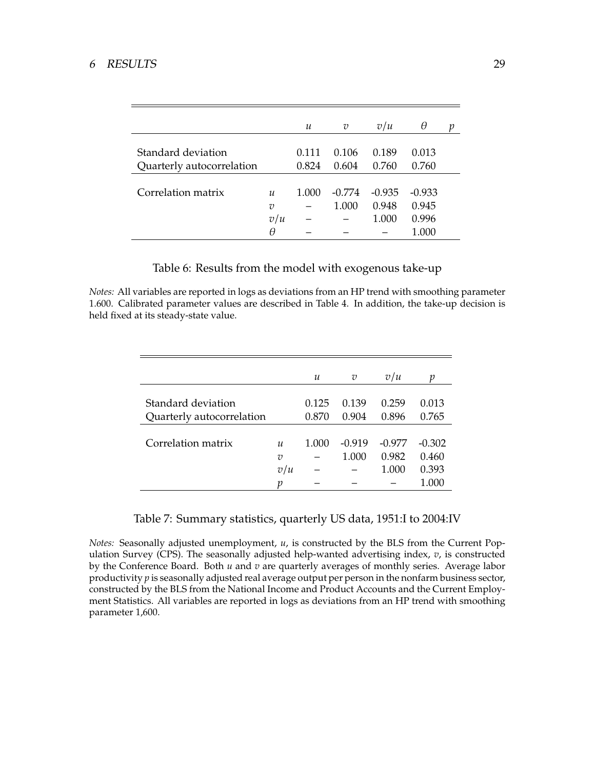### 6 RESULTS 29

|                           |               | и     | v        | v/u      | θ        | п |
|---------------------------|---------------|-------|----------|----------|----------|---|
| Standard deviation        |               | 0.111 | 0.106    | 0.189    | 0.013    |   |
| Quarterly autocorrelation |               | 0.824 | 0.604    | 0.760    | 0.760    |   |
|                           |               |       |          |          |          |   |
| Correlation matrix        | $\mathcal{U}$ | 1.000 | $-0.774$ | $-0.935$ | $-0.933$ |   |
|                           | υ             |       | 1.000    | 0.948    | 0.945    |   |
|                           | v/u           |       |          | 1.000    | 0.996    |   |
|                           | θ             |       |          |          | 1.000    |   |

Table 6: Results from the model with exogenous take-up

*Notes:* All variables are reported in logs as deviations from an HP trend with smoothing parameter 1.600. Calibrated parameter values are described in Table 4. In addition, the take-up decision is held fixed at its steady-state value.

|                           |                            | $\mathcal{U}$ | $\overline{v}$ | v/u      | v        |
|---------------------------|----------------------------|---------------|----------------|----------|----------|
| Standard deviation        |                            | 0.125         | 0.139          | 0.259    | 0.013    |
| Quarterly autocorrelation |                            | 0.870         | 0.904          | 0.896    | 0.765    |
|                           |                            |               |                |          |          |
| Correlation matrix        | $\boldsymbol{\mathcal{U}}$ | 1.000         | $-0.919$       | $-0.977$ | $-0.302$ |
|                           | $\overline{v}$             |               | 1.000          | 0.982    | 0.460    |
|                           | v/u                        |               |                | 1.000    | 0.393    |
|                           | v                          |               |                |          | 1.000    |

#### Table 7: Summary statistics, quarterly US data, 1951:I to 2004:IV

*Notes:* Seasonally adjusted unemployment, *u*, is constructed by the BLS from the Current Population Survey (CPS). The seasonally adjusted help-wanted advertising index, *v*, is constructed by the Conference Board. Both *u* and *v* are quarterly averages of monthly series. Average labor productivity *p* is seasonally adjusted real average output per person in the nonfarm business sector, constructed by the BLS from the National Income and Product Accounts and the Current Employment Statistics. All variables are reported in logs as deviations from an HP trend with smoothing parameter 1,600.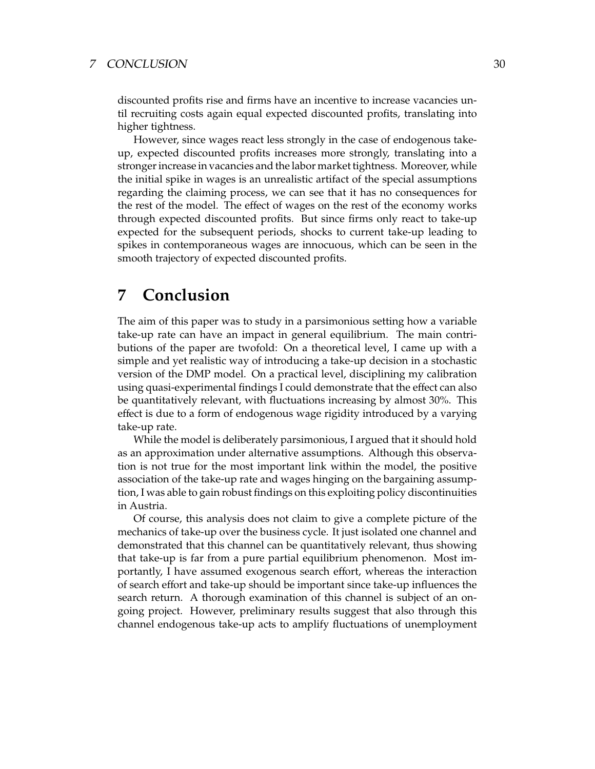#### 7 CONCLUSION 30

discounted profits rise and firms have an incentive to increase vacancies until recruiting costs again equal expected discounted profits, translating into higher tightness.

However, since wages react less strongly in the case of endogenous takeup, expected discounted profits increases more strongly, translating into a stronger increase in vacancies and the labor market tightness. Moreover, while the initial spike in wages is an unrealistic artifact of the special assumptions regarding the claiming process, we can see that it has no consequences for the rest of the model. The effect of wages on the rest of the economy works through expected discounted profits. But since firms only react to take-up expected for the subsequent periods, shocks to current take-up leading to spikes in contemporaneous wages are innocuous, which can be seen in the smooth trajectory of expected discounted profits.

## **7 Conclusion**

The aim of this paper was to study in a parsimonious setting how a variable take-up rate can have an impact in general equilibrium. The main contributions of the paper are twofold: On a theoretical level, I came up with a simple and yet realistic way of introducing a take-up decision in a stochastic version of the DMP model. On a practical level, disciplining my calibration using quasi-experimental findings I could demonstrate that the effect can also be quantitatively relevant, with fluctuations increasing by almost 30%. This effect is due to a form of endogenous wage rigidity introduced by a varying take-up rate.

While the model is deliberately parsimonious, I argued that it should hold as an approximation under alternative assumptions. Although this observation is not true for the most important link within the model, the positive association of the take-up rate and wages hinging on the bargaining assumption, I was able to gain robust findings on this exploiting policy discontinuities in Austria.

Of course, this analysis does not claim to give a complete picture of the mechanics of take-up over the business cycle. It just isolated one channel and demonstrated that this channel can be quantitatively relevant, thus showing that take-up is far from a pure partial equilibrium phenomenon. Most importantly, I have assumed exogenous search effort, whereas the interaction of search effort and take-up should be important since take-up influences the search return. A thorough examination of this channel is subject of an ongoing project. However, preliminary results suggest that also through this channel endogenous take-up acts to amplify fluctuations of unemployment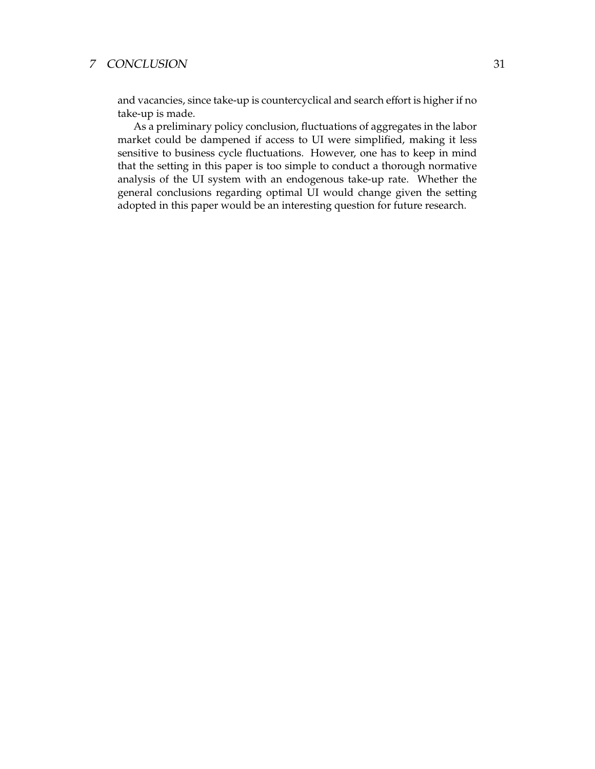### <sup>7</sup> CONCLUSION 31

and vacancies, since take-up is countercyclical and search effort is higher if no take-up is made.

As a preliminary policy conclusion, fluctuations of aggregates in the labor market could be dampened if access to UI were simplified, making it less sensitive to business cycle fluctuations. However, one has to keep in mind that the setting in this paper is too simple to conduct a thorough normative analysis of the UI system with an endogenous take-up rate. Whether the general conclusions regarding optimal UI would change given the setting adopted in this paper would be an interesting question for future research.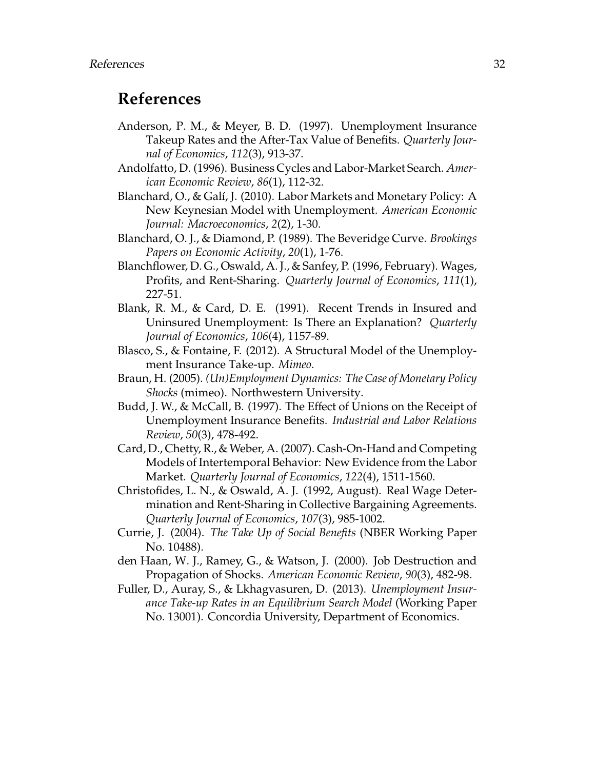## **References**

- Anderson, P. M., & Meyer, B. D. (1997). Unemployment Insurance Takeup Rates and the After-Tax Value of Benefits. *Quarterly Journal of Economics*, *112*(3), 913-37.
- Andolfatto, D. (1996). Business Cycles and Labor-Market Search. *American Economic Review*, *86*(1), 112-32.
- Blanchard, O., & Galí, J. (2010). Labor Markets and Monetary Policy: A New Keynesian Model with Unemployment. *American Economic Journal: Macroeconomics*, *2*(2), 1-30.
- Blanchard, O. J., & Diamond, P. (1989). The Beveridge Curve. *Brookings Papers on Economic Activity*, *20*(1), 1-76.
- Blanchflower, D. G., Oswald, A. J., & Sanfey, P. (1996, February). Wages, Profits, and Rent-Sharing. *Quarterly Journal of Economics*, *111*(1), 227-51.
- Blank, R. M., & Card, D. E. (1991). Recent Trends in Insured and Uninsured Unemployment: Is There an Explanation? *Quarterly Journal of Economics*, *106*(4), 1157-89.
- Blasco, S., & Fontaine, F. (2012). A Structural Model of the Unemployment Insurance Take-up. *Mimeo*.
- Braun, H. (2005). *(Un)Employment Dynamics: The Case of Monetary Policy Shocks* (mimeo). Northwestern University.
- Budd, J. W., & McCall, B. (1997). The Effect of Unions on the Receipt of Unemployment Insurance Benefits. *Industrial and Labor Relations Review*, *50*(3), 478-492.
- Card, D., Chetty, R., & Weber, A. (2007). Cash-On-Hand and Competing Models of Intertemporal Behavior: New Evidence from the Labor Market. *Quarterly Journal of Economics*, *122*(4), 1511-1560.
- Christofides, L. N., & Oswald, A. J. (1992, August). Real Wage Determination and Rent-Sharing in Collective Bargaining Agreements. *Quarterly Journal of Economics*, *107*(3), 985-1002.
- Currie, J. (2004). *The Take Up of Social Benefits* (NBER Working Paper No. 10488).
- den Haan, W. J., Ramey, G., & Watson, J. (2000). Job Destruction and Propagation of Shocks. *American Economic Review*, *90*(3), 482-98.
- Fuller, D., Auray, S., & Lkhagvasuren, D. (2013). *Unemployment Insurance Take-up Rates in an Equilibrium Search Model* (Working Paper No. 13001). Concordia University, Department of Economics.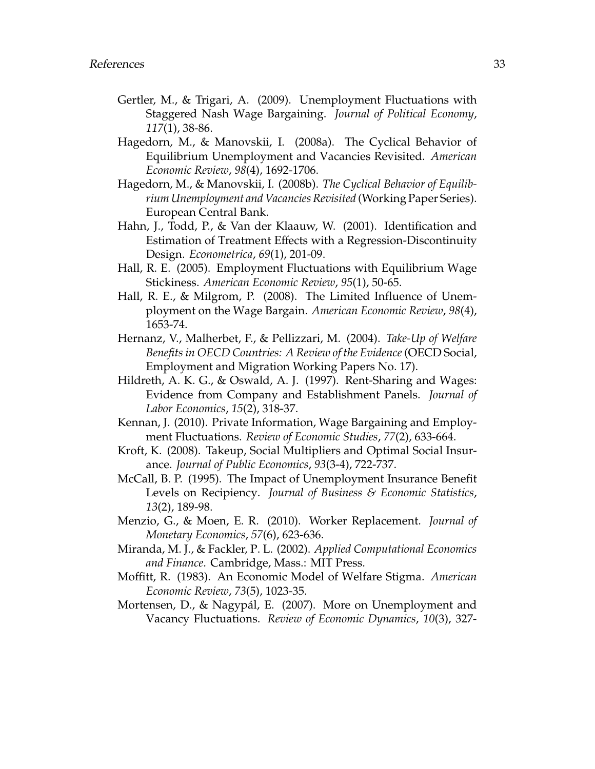- Gertler, M., & Trigari, A. (2009). Unemployment Fluctuations with Staggered Nash Wage Bargaining. *Journal of Political Economy*, *117*(1), 38-86.
- Hagedorn, M., & Manovskii, I. (2008a). The Cyclical Behavior of Equilibrium Unemployment and Vacancies Revisited. *American Economic Review*, *98*(4), 1692-1706.
- Hagedorn, M., & Manovskii, I. (2008b). *The Cyclical Behavior of Equilibrium Unemployment and Vacancies Revisited* (Working Paper Series). European Central Bank.
- Hahn, J., Todd, P., & Van der Klaauw, W. (2001). Identification and Estimation of Treatment Effects with a Regression-Discontinuity Design. *Econometrica*, *69*(1), 201-09.
- Hall, R. E. (2005). Employment Fluctuations with Equilibrium Wage Stickiness. *American Economic Review*, *95*(1), 50-65.
- Hall, R. E., & Milgrom, P. (2008). The Limited Influence of Unemployment on the Wage Bargain. *American Economic Review*, *98*(4), 1653-74.
- Hernanz, V., Malherbet, F., & Pellizzari, M. (2004). *Take-Up of Welfare Benefits in OECD Countries: A Review of the Evidence* (OECD Social, Employment and Migration Working Papers No. 17).
- Hildreth, A. K. G., & Oswald, A. J. (1997). Rent-Sharing and Wages: Evidence from Company and Establishment Panels. *Journal of Labor Economics*, *15*(2), 318-37.
- Kennan, J. (2010). Private Information, Wage Bargaining and Employment Fluctuations. *Review of Economic Studies*, *77*(2), 633-664.
- Kroft, K. (2008). Takeup, Social Multipliers and Optimal Social Insurance. *Journal of Public Economics*, *93*(3-4), 722-737.
- McCall, B. P. (1995). The Impact of Unemployment Insurance Benefit Levels on Recipiency. *Journal of Business & Economic Statistics*, *13*(2), 189-98.
- Menzio, G., & Moen, E. R. (2010). Worker Replacement. *Journal of Monetary Economics*, *57*(6), 623-636.
- Miranda, M. J., & Fackler, P. L. (2002). *Applied Computational Economics and Finance*. Cambridge, Mass.: MIT Press.
- Moffitt, R. (1983). An Economic Model of Welfare Stigma. *American Economic Review*, *73*(5), 1023-35.
- Mortensen, D., & Nagypál, E. (2007). More on Unemployment and Vacancy Fluctuations. *Review of Economic Dynamics*, *10*(3), 327-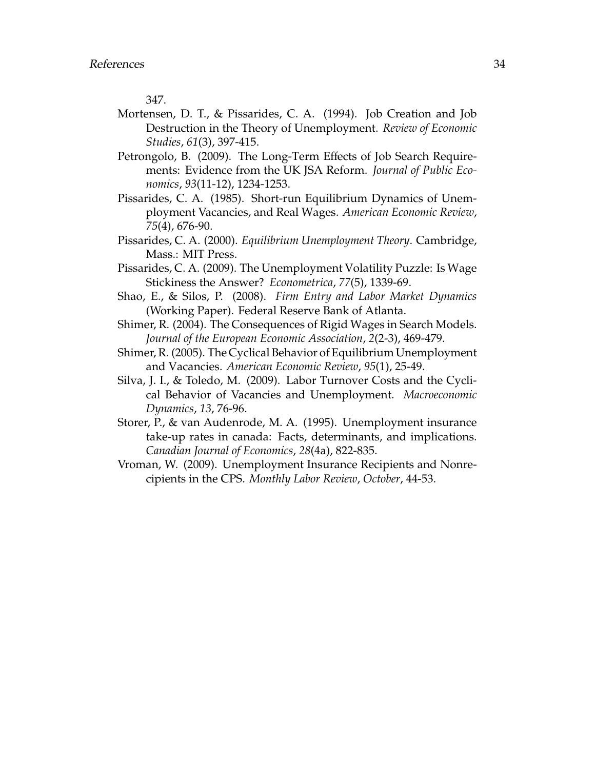347.

- Mortensen, D. T., & Pissarides, C. A. (1994). Job Creation and Job Destruction in the Theory of Unemployment. *Review of Economic Studies*, *61*(3), 397-415.
- Petrongolo, B. (2009). The Long-Term Effects of Job Search Requirements: Evidence from the UK JSA Reform. *Journal of Public Economics*, *93*(11-12), 1234-1253.
- Pissarides, C. A. (1985). Short-run Equilibrium Dynamics of Unemployment Vacancies, and Real Wages. *American Economic Review*, *75*(4), 676-90.
- Pissarides, C. A. (2000). *Equilibrium Unemployment Theory*. Cambridge, Mass.: MIT Press.
- Pissarides, C. A. (2009). The Unemployment Volatility Puzzle: Is Wage Stickiness the Answer? *Econometrica*, *77*(5), 1339-69.
- Shao, E., & Silos, P. (2008). *Firm Entry and Labor Market Dynamics* (Working Paper). Federal Reserve Bank of Atlanta.
- Shimer, R. (2004). The Consequences of Rigid Wages in Search Models. *Journal of the European Economic Association*, *2*(2-3), 469-479.
- Shimer, R. (2005). The Cyclical Behavior of Equilibrium Unemployment and Vacancies. *American Economic Review*, *95*(1), 25-49.
- Silva, J. I., & Toledo, M. (2009). Labor Turnover Costs and the Cyclical Behavior of Vacancies and Unemployment. *Macroeconomic Dynamics*, *13*, 76-96.
- Storer, P., & van Audenrode, M. A. (1995). Unemployment insurance take-up rates in canada: Facts, determinants, and implications. *Canadian Journal of Economics*, *28*(4a), 822-835.
- Vroman, W. (2009). Unemployment Insurance Recipients and Nonrecipients in the CPS. *Monthly Labor Review*, *October*, 44-53.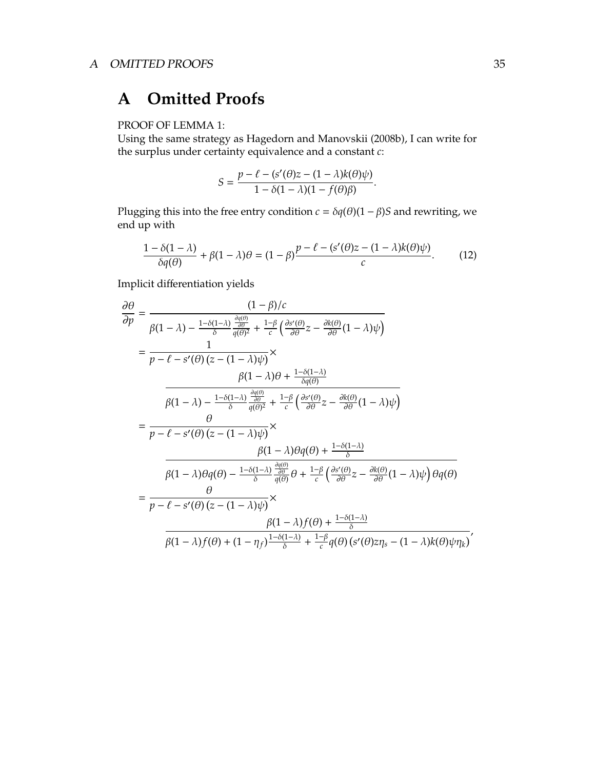## **A Omitted Proofs**

### PROOF OF LEMMA 1:

Using the same strategy as Hagedorn and Manovskii (2008b), I can write for the surplus under certainty equivalence and a constant *c*:

$$
S = \frac{p - \ell - (s'(\theta)z - (1 - \lambda)k(\theta)\psi)}{1 - \delta(1 - \lambda)(1 - f(\theta)\beta)}.
$$

Plugging this into the free entry condition  $c = \delta q(\theta)(1 - \beta)S$  and rewriting, we end up with

$$
\frac{1 - \delta(1 - \lambda)}{\delta q(\theta)} + \beta(1 - \lambda)\theta = (1 - \beta)\frac{p - \ell - (s'(\theta)z - (1 - \lambda)k(\theta)\psi)}{c}.
$$
 (12)

Implicit differentiation yields

$$
\begin{split}\n\frac{\partial \theta}{\partial p} &= \frac{(1-\beta)/c}{\beta(1-\lambda) - \frac{1-\delta(1-\lambda)}{\delta} \frac{\frac{\partial q(\theta)}{\partial \theta}}{q(\theta)^2} + \frac{1-\beta}{c} \left( \frac{\partial s'(\theta)}{\partial \theta} z - \frac{\partial k(\theta)}{\partial \theta} (1-\lambda) \psi \right)}{1} \\
&= \frac{1}{p-\ell - s'(\theta) \left( z - (1-\lambda)\psi \right)} \times \\
&\frac{\beta(1-\lambda)\theta + \frac{1-\delta(1-\lambda)}{\delta q(\theta)}}{\beta q(\theta)^2} \\
&= \frac{\theta}{p-\ell - s'(\theta) \left( z - (1-\lambda)\psi \right)} \times \\
&\frac{\theta}{p-\ell - s'(\theta) \left( z - (1-\lambda)\psi \right)} \times \\
&\frac{\beta(1-\lambda)\theta q(\theta) + \frac{1-\delta(1-\lambda)}{\delta}}{\beta q(\theta)^2} \theta + \frac{1-\beta}{c} \left( \frac{\partial s'(\theta)}{\partial \theta} z - \frac{\partial k(\theta)}{\partial \theta} (1-\lambda)\psi \right) \theta q(\theta)}{1 - \lambda \theta q(\theta) - \frac{1-\delta(1-\lambda)}{\delta} \frac{\partial q(\theta)}{q(\theta)} \theta + \frac{1-\beta}{c} \left( \frac{\partial s'(\theta)}{\partial \theta} z - \frac{\partial k(\theta)}{\partial \theta} (1-\lambda)\psi \right) \theta q(\theta)}{1 - \theta \theta} \\
&= \frac{\theta}{p-\ell - s'(\theta) \left( z - (1-\lambda)\psi \right)} \times \\
&\frac{\beta(1-\lambda)f(\theta) + \frac{1-\delta(1-\lambda)}{\delta}}{\beta(1-\lambda)f(\theta) + (1-\eta_f) \frac{1-\delta(1-\lambda)}{\delta} + \frac{1-\beta}{c} q(\theta) \left( s'(\theta) z \eta_s - (1-\lambda) k(\theta) \psi \eta_k \right)}{1 - \lambda} \\
&\frac{\beta(1-\lambda)f(\theta) + (1-\eta_f) \frac{1-\delta(1-\lambda)}{\delta} + \frac{1-\beta}{c} q(\theta) \left( s'(\theta) z \eta_s - (1-\lambda) k(\theta) \psi \eta_k \right)}{1 - \lambda} \\
&\frac{\beta(1-\lambda)f(\theta) + (1-\eta_f) \frac{1-\delta(1-\lambda)}{\delta} + \frac{1-\beta}{c} q(\theta) \left( s'(\theta) z \eta
$$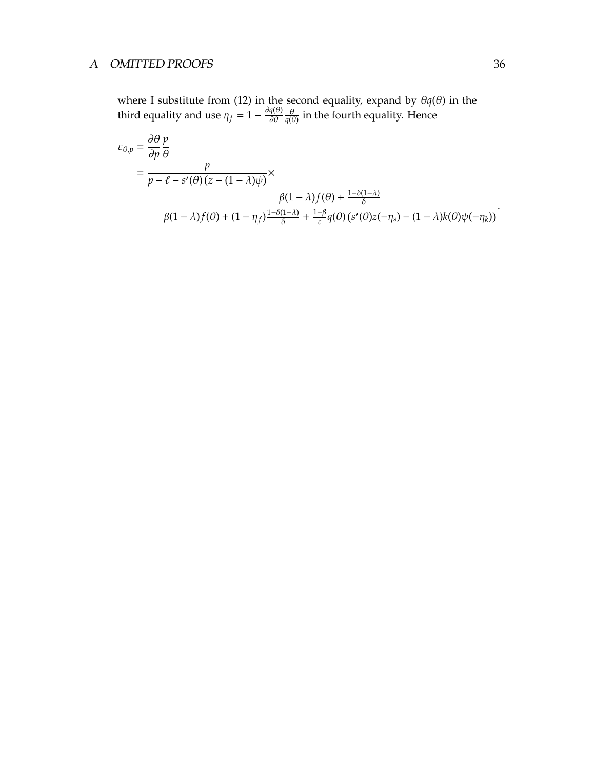### A OMITTED PROOFS 36

where I substitute from (12) in the second equality, expand by θ*q*(θ) in the third equality and use  $\eta_f = 1 - \frac{\partial q(\theta)}{\partial \theta}$ ∂θ θ  $\frac{\theta}{q(\theta)}$  in the fourth equality. Hence

$$
\varepsilon_{\theta,p} = \frac{\partial \theta}{\partial p} \frac{p}{\theta}
$$
  
= 
$$
\frac{p}{p - \ell - s'(\theta) (z - (1 - \lambda)\psi)} \times \frac{\beta(1 - \lambda) f(\theta) + \frac{1 - \delta(1 - \lambda)}{\delta}}{\beta(1 - \lambda) f(\theta) + (1 - \eta_f) \frac{1 - \delta(1 - \lambda)}{\delta} + \frac{1 - \beta}{c} q(\theta) (s'(\theta) z(-\eta_s) - (1 - \lambda) k(\theta) \psi(-\eta_k))}.
$$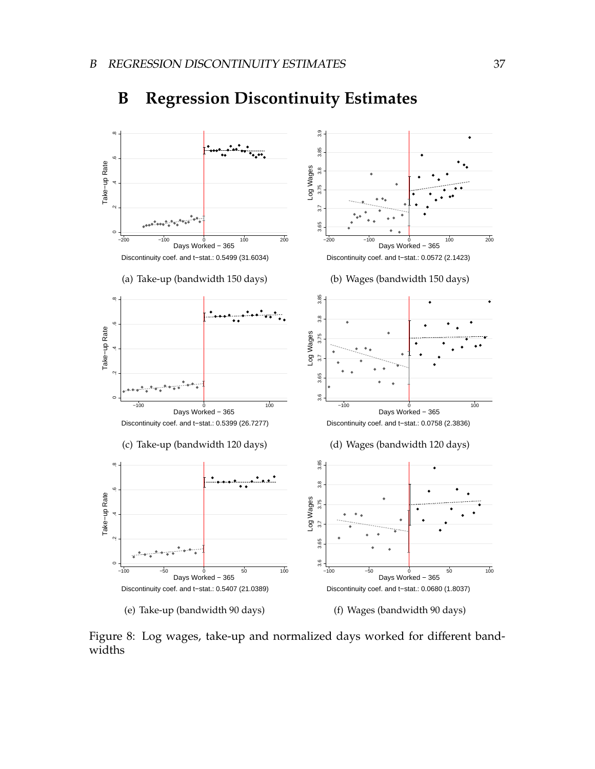

## **B Regression Discontinuity Estimates**

Figure 8: Log wages, take-up and normalized days worked for different bandwidths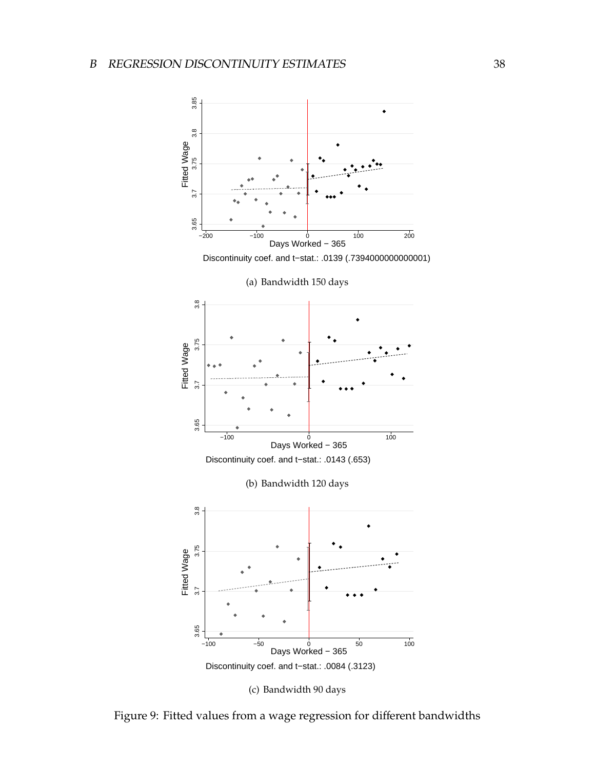### <sup>B</sup> REGRESSION DISCONTINUITY ESTIMATES 38



Figure 9: Fitted values from a wage regression for different bandwidths